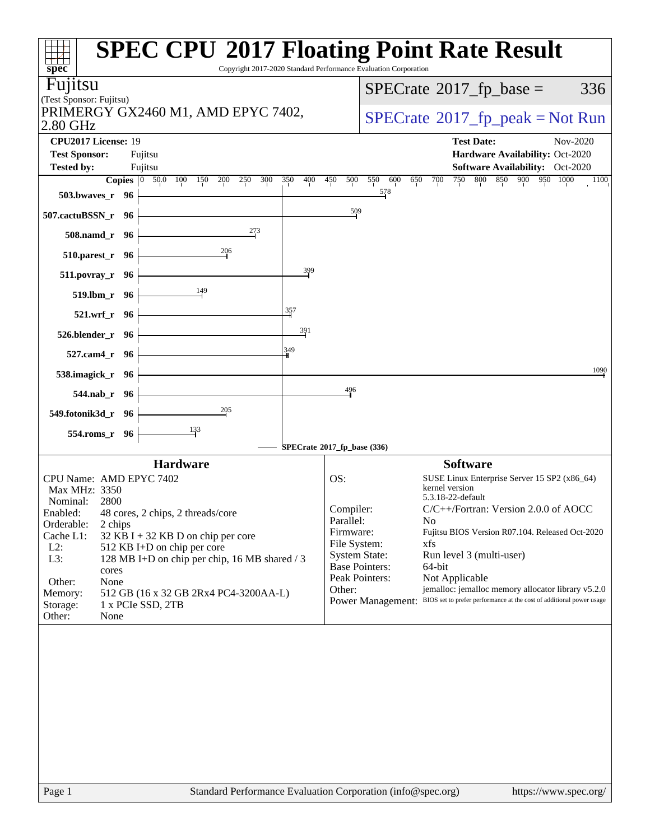| spec <sup>®</sup>                                                                                                              | <b>SPEC CPU®2017 Floating Point Rate Result</b><br>Copyright 2017-2020 Standard Performance Evaluation Corporation                                               |
|--------------------------------------------------------------------------------------------------------------------------------|------------------------------------------------------------------------------------------------------------------------------------------------------------------|
| Fujitsu                                                                                                                        | $SPECrate^{\circ}2017$ _fp_base =<br>336                                                                                                                         |
| (Test Sponsor: Fujitsu)                                                                                                        |                                                                                                                                                                  |
| PRIMERGY GX2460 M1, AMD EPYC 7402,<br>2.80 GHz                                                                                 | $SPECrate^{\circ}2017rfp peak = Not Run$                                                                                                                         |
| CPU2017 License: 19                                                                                                            | <b>Test Date:</b><br>Nov-2020                                                                                                                                    |
| <b>Test Sponsor:</b><br>Fujitsu                                                                                                | Hardware Availability: Oct-2020                                                                                                                                  |
| <b>Tested by:</b><br>Fujitsu<br><b>Copies</b> $\begin{bmatrix} 0 & 50.0 & 100 & 150 \end{bmatrix}$<br>200<br>250<br>300<br>350 | <b>Software Availability:</b> Oct-2020<br>750<br>800<br>850 900 950 1000<br>400<br>450<br>500<br>550<br>600<br>700<br>650<br>1100                                |
| 503.bwaves_r 96                                                                                                                | 578                                                                                                                                                              |
| 507.cactuBSSN_r 96                                                                                                             | $\frac{509}{2}$                                                                                                                                                  |
| $^{273}$<br>508.namd_r 96                                                                                                      |                                                                                                                                                                  |
| 206<br>510.parest_r 96                                                                                                         |                                                                                                                                                                  |
| 511.povray_r 96                                                                                                                | 399                                                                                                                                                              |
| 149<br>519.lbm_r 96                                                                                                            |                                                                                                                                                                  |
| 357<br>521.wrf_r 96                                                                                                            |                                                                                                                                                                  |
| 526.blender_r 96                                                                                                               | 391                                                                                                                                                              |
| 349<br>527.cam4_r 96                                                                                                           |                                                                                                                                                                  |
| 538.imagick_r 96                                                                                                               | 1090                                                                                                                                                             |
| 544.nab_r 96                                                                                                                   | 496                                                                                                                                                              |
| $\frac{205}{1}$<br>549.fotonik3d_r 96                                                                                          |                                                                                                                                                                  |
| $\frac{133}{2}$<br>554.roms_r 96                                                                                               |                                                                                                                                                                  |
|                                                                                                                                | SPECrate®2017_fp_base (336)                                                                                                                                      |
| <b>Hardware</b>                                                                                                                | <b>Software</b>                                                                                                                                                  |
| CPU Name: AMD EPYC 7402                                                                                                        | OS:<br>SUSE Linux Enterprise Server 15 SP2 (x86_64)<br>kernel version                                                                                            |
| Max MHz: 3350<br>Nominal:<br>2800                                                                                              | 5.3.18-22-default                                                                                                                                                |
| Enabled:<br>48 cores, 2 chips, 2 threads/core                                                                                  | Compiler:<br>$C/C++/Fortran$ : Version 2.0.0 of AOCC                                                                                                             |
| Orderable:<br>2 chips                                                                                                          | Parallel:<br>N <sub>0</sub><br>Firmware:<br>Fujitsu BIOS Version R07.104. Released Oct-2020                                                                      |
| Cache L1:<br>32 KB I + 32 KB D on chip per core                                                                                | File System:<br>xfs                                                                                                                                              |
| $L2$ :<br>512 KB I+D on chip per core<br>L3:<br>128 MB I+D on chip per chip, 16 MB shared / 3                                  | <b>System State:</b><br>Run level 3 (multi-user)                                                                                                                 |
| cores                                                                                                                          | <b>Base Pointers:</b><br>64-bit                                                                                                                                  |
| Other:<br>None                                                                                                                 | Peak Pointers:<br>Not Applicable                                                                                                                                 |
| Memory:<br>512 GB (16 x 32 GB 2Rx4 PC4-3200AA-L)                                                                               | jemalloc: jemalloc memory allocator library v5.2.0<br>Other:<br>BIOS set to prefer performance at the cost of additional power usage<br><b>Power Management:</b> |
| Storage:<br>1 x PCIe SSD, 2TB<br>Other:<br>None                                                                                |                                                                                                                                                                  |
|                                                                                                                                |                                                                                                                                                                  |
| Page 1                                                                                                                         | Standard Performance Evaluation Corporation (info@spec.org)<br>https://www.spec.org/                                                                             |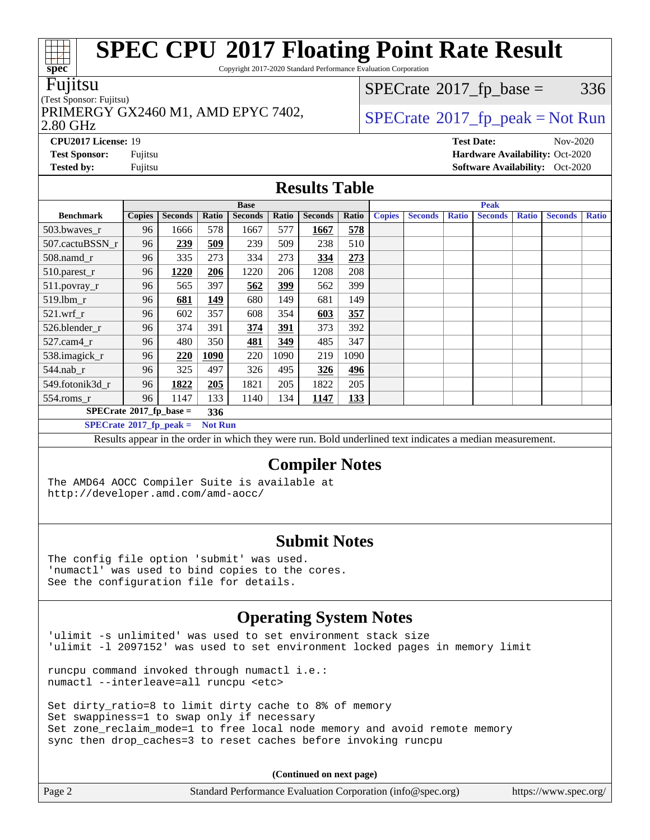Copyright 2017-2020 Standard Performance Evaluation Corporation

#### Fujitsu

#### (Test Sponsor: Fujitsu)

2.80 GHz PRIMERGY GX2460 M1, AMD EPYC 7402,  $\vert$  [SPECrate](http://www.spec.org/auto/cpu2017/Docs/result-fields.html#SPECrate2017fppeak)®[2017\\_fp\\_peak = N](http://www.spec.org/auto/cpu2017/Docs/result-fields.html#SPECrate2017fppeak)ot Run

 $SPECTate@2017_fp\_base = 336$ 

**[CPU2017 License:](http://www.spec.org/auto/cpu2017/Docs/result-fields.html#CPU2017License)** 19 **[Test Date:](http://www.spec.org/auto/cpu2017/Docs/result-fields.html#TestDate)** Nov-2020 **[Test Sponsor:](http://www.spec.org/auto/cpu2017/Docs/result-fields.html#TestSponsor)** Fujitsu **[Hardware Availability:](http://www.spec.org/auto/cpu2017/Docs/result-fields.html#HardwareAvailability)** Oct-2020 **[Tested by:](http://www.spec.org/auto/cpu2017/Docs/result-fields.html#Testedby)** Fujitsu **Fugital Exception Contract Contract Contract Contract Contract Contract Contract Contract Contract Contract Contract Contract Contract Contract Contract Contract Contract Contract Contract Contract Co** 

### **[Results Table](http://www.spec.org/auto/cpu2017/Docs/result-fields.html#ResultsTable)**

|                                   | <b>Base</b>    |                |       |                |            |                |            |               | <b>Peak</b>    |              |                |              |                |              |
|-----------------------------------|----------------|----------------|-------|----------------|------------|----------------|------------|---------------|----------------|--------------|----------------|--------------|----------------|--------------|
| <b>Benchmark</b>                  | <b>Copies</b>  | <b>Seconds</b> | Ratio | <b>Seconds</b> | Ratio      | <b>Seconds</b> | Ratio      | <b>Copies</b> | <b>Seconds</b> | <b>Ratio</b> | <b>Seconds</b> | <b>Ratio</b> | <b>Seconds</b> | <b>Ratio</b> |
| 503.bwaves_r                      | 96             | 1666           | 578   | 1667           | 577        | 1667           | 578        |               |                |              |                |              |                |              |
| 507.cactuBSSN r                   | 96             | 239            | 509   | 239            | 509        | 238            | 510        |               |                |              |                |              |                |              |
| $508$ .namd_r                     | 96             | 335            | 273   | 334            | 273        | 334            | 273        |               |                |              |                |              |                |              |
| 510.parest_r                      | 96             | 1220           | 206   | 1220           | 206        | 1208           | 208        |               |                |              |                |              |                |              |
| 511.povray_r                      | 96             | 565            | 397   | 562            | 399        | 562            | 399        |               |                |              |                |              |                |              |
| 519.lbm r                         | 96             | 681            | 149   | 680            | 149        | 681            | 149        |               |                |              |                |              |                |              |
| $521$ .wrf r                      | 96             | 602            | 357   | 608            | 354        | 603            | 357        |               |                |              |                |              |                |              |
| 526.blender r                     | 96             | 374            | 391   | 374            | <u>391</u> | 373            | 392        |               |                |              |                |              |                |              |
| 527.cam4 r                        | 96             | 480            | 350   | 481            | 349        | 485            | 347        |               |                |              |                |              |                |              |
| 538.imagick_r                     | 96             | 220            | 1090  | 220            | 1090       | 219            | 1090       |               |                |              |                |              |                |              |
| 544.nab r                         | 96             | 325            | 497   | 326            | 495        | 326            | 496        |               |                |              |                |              |                |              |
| 549.fotonik3d r                   | 96             | 1822           | 205   | 1821           | 205        | 1822           | 205        |               |                |              |                |              |                |              |
| $554$ .roms $r$                   | 96             | 1147           | 133   | 1140           | 134        | 1147           | <u>133</u> |               |                |              |                |              |                |              |
| $SPECrate^{\circ}2017$ _fp_base = | 336            |                |       |                |            |                |            |               |                |              |                |              |                |              |
| $SPECrate^{\circ}2017$ fp peak =  | <b>Not Run</b> |                |       |                |            |                |            |               |                |              |                |              |                |              |

Results appear in the [order in which they were run](http://www.spec.org/auto/cpu2017/Docs/result-fields.html#RunOrder). Bold underlined text [indicates a median measurement.](http://www.spec.org/auto/cpu2017/Docs/result-fields.html#Median)

### **[Compiler Notes](http://www.spec.org/auto/cpu2017/Docs/result-fields.html#CompilerNotes)**

The AMD64 AOCC Compiler Suite is available at <http://developer.amd.com/amd-aocc/>

### **[Submit Notes](http://www.spec.org/auto/cpu2017/Docs/result-fields.html#SubmitNotes)**

The config file option 'submit' was used. 'numactl' was used to bind copies to the cores. See the configuration file for details.

### **[Operating System Notes](http://www.spec.org/auto/cpu2017/Docs/result-fields.html#OperatingSystemNotes)**

'ulimit -s unlimited' was used to set environment stack size 'ulimit -l 2097152' was used to set environment locked pages in memory limit

runcpu command invoked through numactl i.e.: numactl --interleave=all runcpu <etc>

Set dirty\_ratio=8 to limit dirty cache to 8% of memory Set swappiness=1 to swap only if necessary Set zone\_reclaim\_mode=1 to free local node memory and avoid remote memory sync then drop\_caches=3 to reset caches before invoking runcpu

**(Continued on next page)**

| Page 2 | Standard Performance Evaluation Corporation (info@spec.org) | https://www.spec.org/ |
|--------|-------------------------------------------------------------|-----------------------|
|--------|-------------------------------------------------------------|-----------------------|

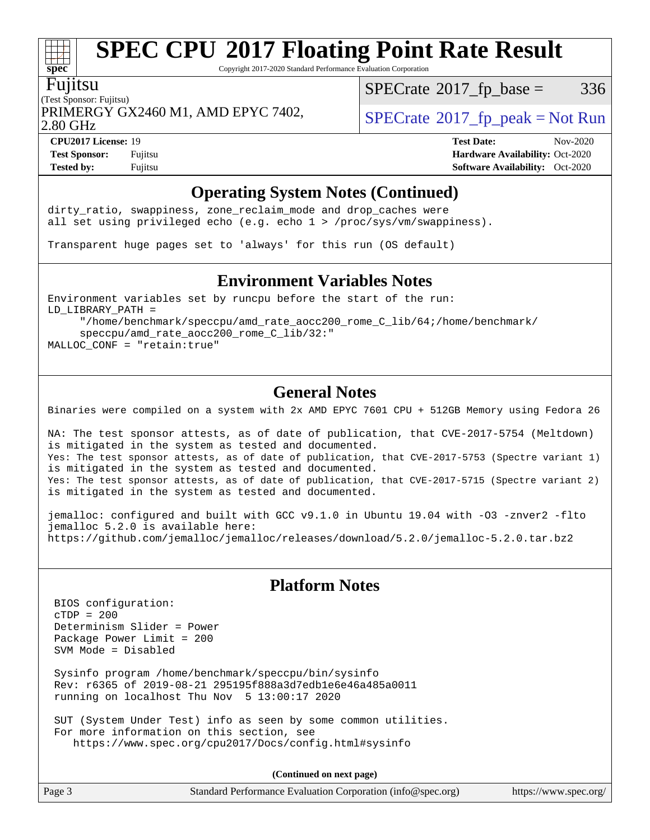Copyright 2017-2020 Standard Performance Evaluation Corporation

#### Fujitsu

**[spec](http://www.spec.org/)**

(Test Sponsor: Fujitsu) PRIMERGY GX2460 M1, AMD EPYC 7402,  $\vert$  [SPECrate](http://www.spec.org/auto/cpu2017/Docs/result-fields.html#SPECrate2017fppeak) 2017 fp peak = Not Run

 $SPECTate@2017_fp\_base = 336$ 

2.80 GHz

**[CPU2017 License:](http://www.spec.org/auto/cpu2017/Docs/result-fields.html#CPU2017License)** 19 **[Test Date:](http://www.spec.org/auto/cpu2017/Docs/result-fields.html#TestDate)** Nov-2020

**[Test Sponsor:](http://www.spec.org/auto/cpu2017/Docs/result-fields.html#TestSponsor)** Fujitsu **[Hardware Availability:](http://www.spec.org/auto/cpu2017/Docs/result-fields.html#HardwareAvailability)** Oct-2020 **[Tested by:](http://www.spec.org/auto/cpu2017/Docs/result-fields.html#Testedby)** Fujitsu **[Software Availability:](http://www.spec.org/auto/cpu2017/Docs/result-fields.html#SoftwareAvailability)** Oct-2020

### **[Operating System Notes \(Continued\)](http://www.spec.org/auto/cpu2017/Docs/result-fields.html#OperatingSystemNotes)**

dirty\_ratio, swappiness, zone\_reclaim\_mode and drop caches were all set using privileged echo (e.g. echo 1 > /proc/sys/vm/swappiness).

Transparent huge pages set to 'always' for this run (OS default)

#### **[Environment Variables Notes](http://www.spec.org/auto/cpu2017/Docs/result-fields.html#EnvironmentVariablesNotes)**

Environment variables set by runcpu before the start of the run: LD\_LIBRARY\_PATH = "/home/benchmark/speccpu/amd\_rate\_aocc200\_rome\_C\_lib/64;/home/benchmark/

 speccpu/amd\_rate\_aocc200\_rome\_C\_lib/32:" MALLOC\_CONF = "retain:true"

### **[General Notes](http://www.spec.org/auto/cpu2017/Docs/result-fields.html#GeneralNotes)**

Binaries were compiled on a system with 2x AMD EPYC 7601 CPU + 512GB Memory using Fedora 26

NA: The test sponsor attests, as of date of publication, that CVE-2017-5754 (Meltdown) is mitigated in the system as tested and documented. Yes: The test sponsor attests, as of date of publication, that CVE-2017-5753 (Spectre variant 1) is mitigated in the system as tested and documented. Yes: The test sponsor attests, as of date of publication, that CVE-2017-5715 (Spectre variant 2) is mitigated in the system as tested and documented.

jemalloc: configured and built with GCC v9.1.0 in Ubuntu 19.04 with -O3 -znver2 -flto jemalloc 5.2.0 is available here: <https://github.com/jemalloc/jemalloc/releases/download/5.2.0/jemalloc-5.2.0.tar.bz2>

### **[Platform Notes](http://www.spec.org/auto/cpu2017/Docs/result-fields.html#PlatformNotes)**

 BIOS configuration:  $CTDP = 200$  Determinism Slider = Power Package Power Limit = 200 SVM Mode = Disabled

 Sysinfo program /home/benchmark/speccpu/bin/sysinfo Rev: r6365 of 2019-08-21 295195f888a3d7edb1e6e46a485a0011 running on localhost Thu Nov 5 13:00:17 2020

 SUT (System Under Test) info as seen by some common utilities. For more information on this section, see <https://www.spec.org/cpu2017/Docs/config.html#sysinfo>

**(Continued on next page)**

| Page 3<br>Standard Performance Evaluation Corporation (info@spec.org) |  | https://www.spec.org/ |
|-----------------------------------------------------------------------|--|-----------------------|
|-----------------------------------------------------------------------|--|-----------------------|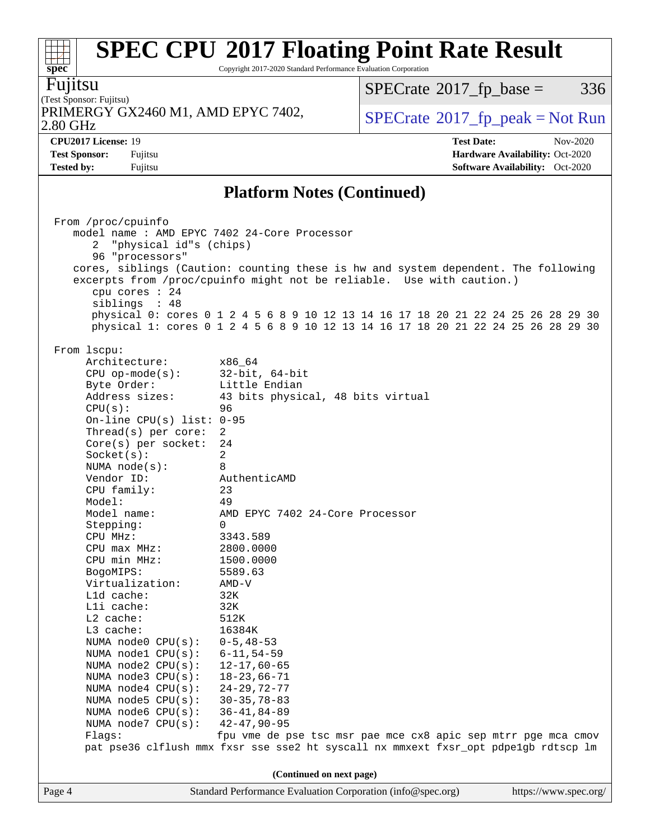Copyright 2017-2020 Standard Performance Evaluation Corporation

Fujitsu

**[spec](http://www.spec.org/)**

#### (Test Sponsor: Fujitsu) 2.80 GHz PRIMERGY GX2460 M1, AMD EPYC 7402,  $\vert$  [SPECrate](http://www.spec.org/auto/cpu2017/Docs/result-fields.html#SPECrate2017fppeak) [2017\\_fp\\_peak = N](http://www.spec.org/auto/cpu2017/Docs/result-fields.html#SPECrate2017fppeak)ot Run

 $SPECrate@2017_fp\_base = 336$  $SPECrate@2017_fp\_base = 336$ 

**[CPU2017 License:](http://www.spec.org/auto/cpu2017/Docs/result-fields.html#CPU2017License)** 19 **[Test Date:](http://www.spec.org/auto/cpu2017/Docs/result-fields.html#TestDate)** Nov-2020 **[Test Sponsor:](http://www.spec.org/auto/cpu2017/Docs/result-fields.html#TestSponsor)** Fujitsu **[Hardware Availability:](http://www.spec.org/auto/cpu2017/Docs/result-fields.html#HardwareAvailability)** Oct-2020 **[Tested by:](http://www.spec.org/auto/cpu2017/Docs/result-fields.html#Testedby)** Fujitsu **[Software Availability:](http://www.spec.org/auto/cpu2017/Docs/result-fields.html#SoftwareAvailability)** Oct-2020

### **[Platform Notes \(Continued\)](http://www.spec.org/auto/cpu2017/Docs/result-fields.html#PlatformNotes)**

|        | From /proc/cpuinfo                                                                 |                                                                                     |                       |  |  |  |  |  |  |
|--------|------------------------------------------------------------------------------------|-------------------------------------------------------------------------------------|-----------------------|--|--|--|--|--|--|
|        | model name : AMD EPYC 7402 24-Core Processor                                       |                                                                                     |                       |  |  |  |  |  |  |
|        | "physical id"s (chips)<br>2                                                        |                                                                                     |                       |  |  |  |  |  |  |
|        | 96 "processors"                                                                    |                                                                                     |                       |  |  |  |  |  |  |
|        |                                                                                    |                                                                                     |                       |  |  |  |  |  |  |
|        | cores, siblings (Caution: counting these is hw and system dependent. The following |                                                                                     |                       |  |  |  |  |  |  |
|        |                                                                                    | excerpts from /proc/cpuinfo might not be reliable. Use with caution.)               |                       |  |  |  |  |  |  |
|        | cpu cores $: 24$                                                                   |                                                                                     |                       |  |  |  |  |  |  |
|        | siblings : 48                                                                      |                                                                                     |                       |  |  |  |  |  |  |
|        |                                                                                    | physical 0: cores 0 1 2 4 5 6 8 9 10 12 13 14 16 17 18 20 21 22 24 25 26 28 29 30   |                       |  |  |  |  |  |  |
|        |                                                                                    | physical 1: cores 0 1 2 4 5 6 8 9 10 12 13 14 16 17 18 20 21 22 24 25 26 28 29 30   |                       |  |  |  |  |  |  |
|        |                                                                                    |                                                                                     |                       |  |  |  |  |  |  |
|        | From 1scpu:                                                                        |                                                                                     |                       |  |  |  |  |  |  |
|        | Architecture:                                                                      | x86_64                                                                              |                       |  |  |  |  |  |  |
|        | $CPU$ op-mode( $s$ ):                                                              | $32$ -bit, $64$ -bit                                                                |                       |  |  |  |  |  |  |
|        | Byte Order:                                                                        | Little Endian                                                                       |                       |  |  |  |  |  |  |
|        | Address sizes:                                                                     |                                                                                     |                       |  |  |  |  |  |  |
|        |                                                                                    | 43 bits physical, 48 bits virtual                                                   |                       |  |  |  |  |  |  |
|        | CPU(s):                                                                            | 96                                                                                  |                       |  |  |  |  |  |  |
|        | On-line CPU(s) list: $0-95$                                                        |                                                                                     |                       |  |  |  |  |  |  |
|        | Thread(s) per core:                                                                | 2                                                                                   |                       |  |  |  |  |  |  |
|        | $Core(s)$ per socket:                                                              | 24                                                                                  |                       |  |  |  |  |  |  |
|        | Socket(s):                                                                         | 2                                                                                   |                       |  |  |  |  |  |  |
|        | NUMA $node(s):$                                                                    | 8                                                                                   |                       |  |  |  |  |  |  |
|        | Vendor ID:                                                                         | AuthenticAMD                                                                        |                       |  |  |  |  |  |  |
|        | CPU family:                                                                        | 23                                                                                  |                       |  |  |  |  |  |  |
|        | Model:                                                                             | 49                                                                                  |                       |  |  |  |  |  |  |
|        | Model name:                                                                        | AMD EPYC 7402 24-Core Processor                                                     |                       |  |  |  |  |  |  |
|        | Stepping:                                                                          | $\Omega$                                                                            |                       |  |  |  |  |  |  |
|        | CPU MHz:                                                                           | 3343.589                                                                            |                       |  |  |  |  |  |  |
|        |                                                                                    |                                                                                     |                       |  |  |  |  |  |  |
|        | CPU max MHz:                                                                       | 2800.0000                                                                           |                       |  |  |  |  |  |  |
|        | CPU min MHz:                                                                       | 1500.0000                                                                           |                       |  |  |  |  |  |  |
|        | BogoMIPS:                                                                          | 5589.63                                                                             |                       |  |  |  |  |  |  |
|        | Virtualization:                                                                    | AMD-V                                                                               |                       |  |  |  |  |  |  |
|        | L1d cache:                                                                         | 32K                                                                                 |                       |  |  |  |  |  |  |
|        | Lli cache:                                                                         | 32K                                                                                 |                       |  |  |  |  |  |  |
|        | L2 cache:                                                                          | 512K                                                                                |                       |  |  |  |  |  |  |
|        | L3 cache:                                                                          | 16384K                                                                              |                       |  |  |  |  |  |  |
|        | NUMA node0 $CPU(s): 0-5, 48-53$                                                    |                                                                                     |                       |  |  |  |  |  |  |
|        | NUMA nodel CPU(s): 6-11,54-59                                                      |                                                                                     |                       |  |  |  |  |  |  |
|        | NUMA $node2$ $CPU(s):$                                                             | $12 - 17,60 - 65$                                                                   |                       |  |  |  |  |  |  |
|        | NUMA $node3$ $CPU(s):$                                                             | $18 - 23,66 - 71$                                                                   |                       |  |  |  |  |  |  |
|        |                                                                                    | 24-29.72-77                                                                         |                       |  |  |  |  |  |  |
|        | NUMA $node4$ $CPU(s):$                                                             |                                                                                     |                       |  |  |  |  |  |  |
|        | NUMA $node5$ $CPU(s):$                                                             | $30 - 35, 78 - 83$                                                                  |                       |  |  |  |  |  |  |
|        | NUMA $node6$ $CPU(s):$                                                             | $36 - 41, 84 - 89$                                                                  |                       |  |  |  |  |  |  |
|        | NUMA $node7$ $CPU(s):$                                                             | 42-47,90-95                                                                         |                       |  |  |  |  |  |  |
|        | Flags:                                                                             | fpu vme de pse tsc msr pae mce cx8 apic sep mtrr pge mca cmov                       |                       |  |  |  |  |  |  |
|        |                                                                                    | pat pse36 clflush mmx fxsr sse sse2 ht syscall nx mmxext fxsr_opt pdpelgb rdtscp lm |                       |  |  |  |  |  |  |
|        |                                                                                    |                                                                                     |                       |  |  |  |  |  |  |
|        |                                                                                    | (Continued on next page)                                                            |                       |  |  |  |  |  |  |
| Page 4 |                                                                                    | Standard Performance Evaluation Corporation (info@spec.org)                         | https://www.spec.org/ |  |  |  |  |  |  |
|        |                                                                                    |                                                                                     |                       |  |  |  |  |  |  |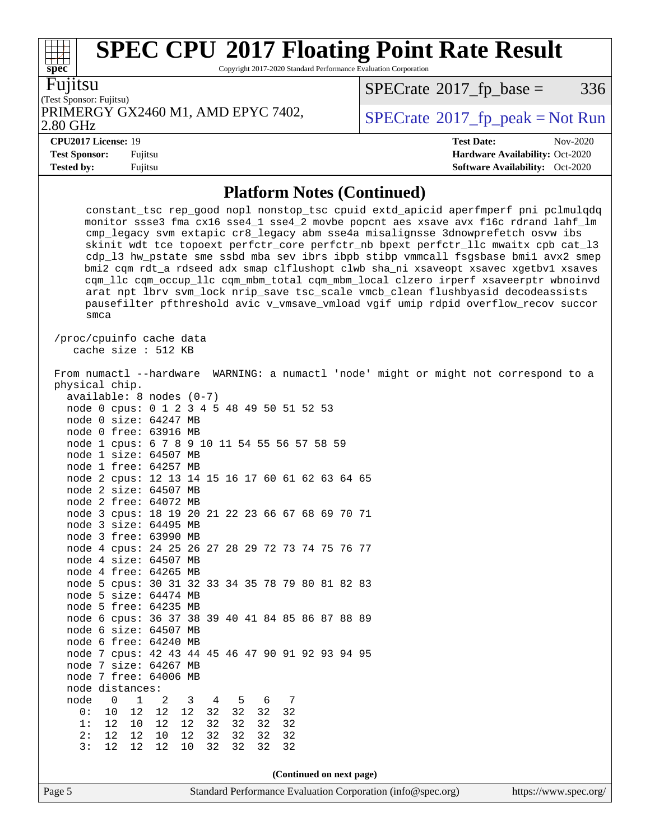Copyright 2017-2020 Standard Performance Evaluation Corporation

|  | V | . . |
|--|---|-----|
|  |   |     |

**[spec](http://www.spec.org/)**

(Test Sponsor: Fujitsu) PRIMERGY GX2460 M1, AMD EPYC 7402,  $\begin{array}{|l|l|}\n\hline\n\text{SPECrate} \textdegree 2017_f\text{ peak} = Not Run\n\end{array}$  $\begin{array}{|l|l|}\n\hline\n\text{SPECrate} \textdegree 2017_f\text{ peak} = Not Run\n\end{array}$  $\begin{array}{|l|l|}\n\hline\n\text{SPECrate} \textdegree 2017_f\text{ peak} = Not Run\n\end{array}$ 

 $SPECrate@2017_fp\_base = 336$  $SPECrate@2017_fp\_base = 336$ 

#### 2.80 GHz

**[Test Sponsor:](http://www.spec.org/auto/cpu2017/Docs/result-fields.html#TestSponsor)** Fujitsu **[Hardware Availability:](http://www.spec.org/auto/cpu2017/Docs/result-fields.html#HardwareAvailability)** Oct-2020

**[Tested by:](http://www.spec.org/auto/cpu2017/Docs/result-fields.html#Testedby)** Fujitsu **[Software Availability:](http://www.spec.org/auto/cpu2017/Docs/result-fields.html#SoftwareAvailability)** Oct-2020

**[CPU2017 License:](http://www.spec.org/auto/cpu2017/Docs/result-fields.html#CPU2017License)** 19 **[Test Date:](http://www.spec.org/auto/cpu2017/Docs/result-fields.html#TestDate)** Nov-2020

**[Platform Notes \(Continued\)](http://www.spec.org/auto/cpu2017/Docs/result-fields.html#PlatformNotes)**

|                          | smca |             |                                                                           |      |    |    |    |    |  |                          | constant_tsc rep_good nopl nonstop_tsc cpuid extd_apicid aperfmperf pni pclmulqdq<br>monitor ssse3 fma cx16 sse4_1 sse4_2 movbe popcnt aes xsave avx f16c rdrand lahf_lm<br>cmp_legacy svm extapic cr8_legacy abm sse4a misalignsse 3dnowprefetch osvw ibs<br>skinit wdt tce topoext perfctr_core perfctr_nb bpext perfctr_llc mwaitx cpb cat_13<br>cdp_13 hw_pstate sme ssbd mba sev ibrs ibpb stibp vmmcall fsgsbase bmil avx2 smep<br>bmi2 cqm rdt_a rdseed adx smap clflushopt clwb sha_ni xsaveopt xsavec xgetbv1 xsaves<br>cqm_llc cqm_occup_llc cqm_mbm_total cqm_mbm_local clzero irperf xsaveerptr wbnoinvd<br>arat npt lbrv svm_lock nrip_save tsc_scale vmcb_clean flushbyasid decodeassists<br>pausefilter pfthreshold avic v_vmsave_vmload vgif umip rdpid overflow_recov succor |
|--------------------------|------|-------------|---------------------------------------------------------------------------|------|----|----|----|----|--|--------------------------|-----------------------------------------------------------------------------------------------------------------------------------------------------------------------------------------------------------------------------------------------------------------------------------------------------------------------------------------------------------------------------------------------------------------------------------------------------------------------------------------------------------------------------------------------------------------------------------------------------------------------------------------------------------------------------------------------------------------------------------------------------------------------------------------------|
| /proc/cpuinfo cache data |      |             | cache size : 512 KB                                                       |      |    |    |    |    |  |                          |                                                                                                                                                                                                                                                                                                                                                                                                                                                                                                                                                                                                                                                                                                                                                                                               |
|                          |      |             |                                                                           |      |    |    |    |    |  |                          | From numactl --hardware WARNING: a numactl 'node' might or might not correspond to a                                                                                                                                                                                                                                                                                                                                                                                                                                                                                                                                                                                                                                                                                                          |
| physical chip.           |      |             |                                                                           |      |    |    |    |    |  |                          |                                                                                                                                                                                                                                                                                                                                                                                                                                                                                                                                                                                                                                                                                                                                                                                               |
|                          |      |             | available: 8 nodes (0-7)                                                  |      |    |    |    |    |  |                          |                                                                                                                                                                                                                                                                                                                                                                                                                                                                                                                                                                                                                                                                                                                                                                                               |
|                          |      |             | node 0 cpus: 0 1 2 3 4 5 48 49 50 51 52 53                                |      |    |    |    |    |  |                          |                                                                                                                                                                                                                                                                                                                                                                                                                                                                                                                                                                                                                                                                                                                                                                                               |
|                          |      |             | node 0 size: 64247 MB                                                     |      |    |    |    |    |  |                          |                                                                                                                                                                                                                                                                                                                                                                                                                                                                                                                                                                                                                                                                                                                                                                                               |
|                          |      |             | node 0 free: 63916 MB                                                     |      |    |    |    |    |  |                          |                                                                                                                                                                                                                                                                                                                                                                                                                                                                                                                                                                                                                                                                                                                                                                                               |
|                          |      |             | node 1 cpus: 6 7 8 9 10 11 54 55 56 57 58 59                              |      |    |    |    |    |  |                          |                                                                                                                                                                                                                                                                                                                                                                                                                                                                                                                                                                                                                                                                                                                                                                                               |
|                          |      |             | node 1 size: 64507 MB                                                     |      |    |    |    |    |  |                          |                                                                                                                                                                                                                                                                                                                                                                                                                                                                                                                                                                                                                                                                                                                                                                                               |
|                          |      |             | node 1 free: 64257 MB                                                     |      |    |    |    |    |  |                          |                                                                                                                                                                                                                                                                                                                                                                                                                                                                                                                                                                                                                                                                                                                                                                                               |
|                          |      |             | node 2 cpus: 12 13 14 15 16 17 60 61 62 63 64 65                          |      |    |    |    |    |  |                          |                                                                                                                                                                                                                                                                                                                                                                                                                                                                                                                                                                                                                                                                                                                                                                                               |
|                          |      |             | node 2 size: 64507 MB                                                     |      |    |    |    |    |  |                          |                                                                                                                                                                                                                                                                                                                                                                                                                                                                                                                                                                                                                                                                                                                                                                                               |
|                          |      |             | node 2 free: 64072 MB                                                     |      |    |    |    |    |  |                          |                                                                                                                                                                                                                                                                                                                                                                                                                                                                                                                                                                                                                                                                                                                                                                                               |
|                          |      |             | node 3 cpus: 18 19 20 21 22 23 66 67 68 69 70 71                          |      |    |    |    |    |  |                          |                                                                                                                                                                                                                                                                                                                                                                                                                                                                                                                                                                                                                                                                                                                                                                                               |
|                          |      |             | node 3 size: 64495 MB                                                     |      |    |    |    |    |  |                          |                                                                                                                                                                                                                                                                                                                                                                                                                                                                                                                                                                                                                                                                                                                                                                                               |
|                          |      |             | node 3 free: 63990 MB                                                     |      |    |    |    |    |  |                          |                                                                                                                                                                                                                                                                                                                                                                                                                                                                                                                                                                                                                                                                                                                                                                                               |
|                          |      |             | node 4 cpus: 24 25 26 27 28 29 72 73 74 75 76 77                          |      |    |    |    |    |  |                          |                                                                                                                                                                                                                                                                                                                                                                                                                                                                                                                                                                                                                                                                                                                                                                                               |
|                          |      |             | node 4 size: 64507 MB                                                     |      |    |    |    |    |  |                          |                                                                                                                                                                                                                                                                                                                                                                                                                                                                                                                                                                                                                                                                                                                                                                                               |
|                          |      |             | node 4 free: 64265 MB                                                     |      |    |    |    |    |  |                          |                                                                                                                                                                                                                                                                                                                                                                                                                                                                                                                                                                                                                                                                                                                                                                                               |
|                          |      |             | node 5 cpus: 30 31 32 33 34 35 78 79 80 81 82 83                          |      |    |    |    |    |  |                          |                                                                                                                                                                                                                                                                                                                                                                                                                                                                                                                                                                                                                                                                                                                                                                                               |
|                          |      |             | node 5 size: 64474 MB                                                     |      |    |    |    |    |  |                          |                                                                                                                                                                                                                                                                                                                                                                                                                                                                                                                                                                                                                                                                                                                                                                                               |
|                          |      |             | node 5 free: 64235 MB<br>node 6 cpus: 36 37 38 39 40 41 84 85 86 87 88 89 |      |    |    |    |    |  |                          |                                                                                                                                                                                                                                                                                                                                                                                                                                                                                                                                                                                                                                                                                                                                                                                               |
|                          |      |             | node 6 size: 64507 MB                                                     |      |    |    |    |    |  |                          |                                                                                                                                                                                                                                                                                                                                                                                                                                                                                                                                                                                                                                                                                                                                                                                               |
|                          |      |             | node 6 free: 64240 MB                                                     |      |    |    |    |    |  |                          |                                                                                                                                                                                                                                                                                                                                                                                                                                                                                                                                                                                                                                                                                                                                                                                               |
|                          |      |             | node 7 cpus: 42 43 44 45 46 47 90 91 92 93 94 95                          |      |    |    |    |    |  |                          |                                                                                                                                                                                                                                                                                                                                                                                                                                                                                                                                                                                                                                                                                                                                                                                               |
|                          |      |             | node 7 size: 64267 MB                                                     |      |    |    |    |    |  |                          |                                                                                                                                                                                                                                                                                                                                                                                                                                                                                                                                                                                                                                                                                                                                                                                               |
|                          |      |             | node 7 free: 64006 MB                                                     |      |    |    |    |    |  |                          |                                                                                                                                                                                                                                                                                                                                                                                                                                                                                                                                                                                                                                                                                                                                                                                               |
| node distances:          |      |             |                                                                           |      |    |    |    |    |  |                          |                                                                                                                                                                                                                                                                                                                                                                                                                                                                                                                                                                                                                                                                                                                                                                                               |
| node                     | 0    | $\mathbf 1$ | 2                                                                         | 3    | 4  | 5  | 6  | 7  |  |                          |                                                                                                                                                                                                                                                                                                                                                                                                                                                                                                                                                                                                                                                                                                                                                                                               |
| 0:                       | 10   | 12          | $1\,2$                                                                    | $12$ | 32 | 32 | 32 | 32 |  |                          |                                                                                                                                                                                                                                                                                                                                                                                                                                                                                                                                                                                                                                                                                                                                                                                               |
| 1:                       | 12   | $10$        | 12                                                                        | 12   | 32 | 32 | 32 | 32 |  |                          |                                                                                                                                                                                                                                                                                                                                                                                                                                                                                                                                                                                                                                                                                                                                                                                               |
| 2:                       | $12$ | 12          | 10                                                                        | 12   | 32 | 32 | 32 | 32 |  |                          |                                                                                                                                                                                                                                                                                                                                                                                                                                                                                                                                                                                                                                                                                                                                                                                               |
| 3:                       | 12   | 12          | 12                                                                        | 10   | 32 | 32 | 32 | 32 |  |                          |                                                                                                                                                                                                                                                                                                                                                                                                                                                                                                                                                                                                                                                                                                                                                                                               |
|                          |      |             |                                                                           |      |    |    |    |    |  |                          |                                                                                                                                                                                                                                                                                                                                                                                                                                                                                                                                                                                                                                                                                                                                                                                               |
|                          |      |             |                                                                           |      |    |    |    |    |  | (Continued on next page) |                                                                                                                                                                                                                                                                                                                                                                                                                                                                                                                                                                                                                                                                                                                                                                                               |
|                          |      |             |                                                                           |      |    |    |    |    |  |                          |                                                                                                                                                                                                                                                                                                                                                                                                                                                                                                                                                                                                                                                                                                                                                                                               |
| Page 5                   |      |             |                                                                           |      |    |    |    |    |  |                          | Standard Performance Evaluation Corporation (info@spec.org)<br>https://www.spec.org/                                                                                                                                                                                                                                                                                                                                                                                                                                                                                                                                                                                                                                                                                                          |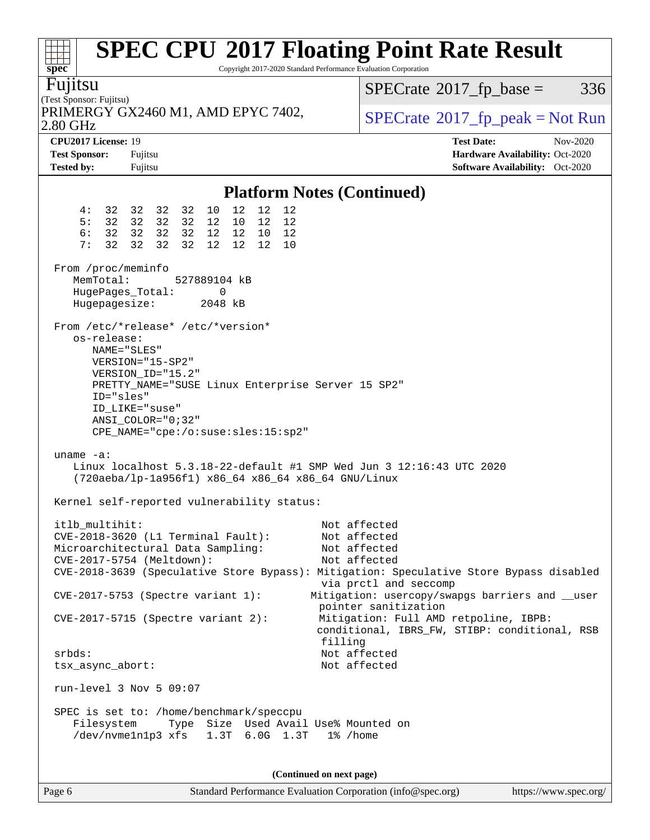| $spec^*$                                                         | Copyright 2017-2020 Standard Performance Evaluation Corporation                                                                                                                                                                 | <b>SPEC CPU®2017 Floating Point Rate Result</b>                                                                                                         |
|------------------------------------------------------------------|---------------------------------------------------------------------------------------------------------------------------------------------------------------------------------------------------------------------------------|---------------------------------------------------------------------------------------------------------------------------------------------------------|
| Fujitsu<br>(Test Sponsor: Fujitsu)                               |                                                                                                                                                                                                                                 | $SPECrate^{\circledast}2017$ _fp_base =<br>336                                                                                                          |
| 2.80 GHz                                                         | PRIMERGY GX2460 M1, AMD EPYC 7402,                                                                                                                                                                                              | $SPECrate^{\circ}2017$ _fp_peak = Not Run                                                                                                               |
| CPU2017 License: 19<br><b>Test Sponsor:</b><br><b>Tested by:</b> | Fujitsu<br>Fujitsu                                                                                                                                                                                                              | <b>Test Date:</b><br>Nov-2020<br>Hardware Availability: Oct-2020<br><b>Software Availability:</b> Oct-2020                                              |
|                                                                  | <b>Platform Notes (Continued)</b>                                                                                                                                                                                               |                                                                                                                                                         |
| 4:<br>5:<br>6:<br>7:<br>32<br>From /proc/meminfo                 | 12<br>12<br>32 32<br>10<br>12<br>32 32<br>32 32 32 32<br>12 10<br>12<br>12<br>32 32<br>32 32<br>12 12 10<br>12<br>32<br>32<br>32<br>12<br>12<br>12<br>10                                                                        |                                                                                                                                                         |
| MemTotal:<br>HugePages_Total:<br>Hugepagesize:                   | 527889104 kB<br>0<br>2048 kB                                                                                                                                                                                                    |                                                                                                                                                         |
| os-release:<br>ID="sles"                                         | From /etc/*release* /etc/*version*<br>NAME="SLES"<br>VERSION="15-SP2"<br>VERSION_ID="15.2"<br>PRETTY_NAME="SUSE Linux Enterprise Server 15 SP2"<br>ID LIKE="suse"<br>$ANSI$ _COLOR="0;32"<br>CPE_NAME="cpe:/o:suse:sles:15:sp2" |                                                                                                                                                         |
| $uname -a$ :                                                     | Linux localhost 5.3.18-22-default #1 SMP Wed Jun 3 12:16:43 UTC 2020<br>(720aeba/lp-1a956f1) x86_64 x86_64 x86_64 GNU/Linux<br>Kernel self-reported vulnerability status:                                                       |                                                                                                                                                         |
| itlb_multihit:                                                   | CVE-2018-3620 (L1 Terminal Fault):<br>Microarchitectural Data Sampling:<br>CVE-2017-5754 (Meltdown):                                                                                                                            | Not affected<br>Not affected<br>Not affected<br>Not affected<br>CVE-2018-3639 (Speculative Store Bypass): Mitigation: Speculative Store Bypass disabled |
|                                                                  | CVE-2017-5753 (Spectre variant 1):<br>$CVE-2017-5715$ (Spectre variant 2):                                                                                                                                                      | via prctl and seccomp<br>Mitigation: usercopy/swapgs barriers and __user<br>pointer sanitization<br>Mitigation: Full AMD retpoline, IBPB:               |
| srbds:<br>tsx_async_abort:                                       |                                                                                                                                                                                                                                 | conditional, IBRS_FW, STIBP: conditional, RSB<br>filling<br>Not affected<br>Not affected                                                                |
|                                                                  | run-level 3 Nov 5 09:07                                                                                                                                                                                                         |                                                                                                                                                         |
| Filesystem                                                       | SPEC is set to: /home/benchmark/speccpu<br>Type Size Used Avail Use% Mounted on<br>/dev/nvmeln1p3 xfs 1.3T 6.0G 1.3T                                                                                                            | 1% /home                                                                                                                                                |
|                                                                  | (Continued on next page)                                                                                                                                                                                                        |                                                                                                                                                         |

Page 6 Standard Performance Evaluation Corporation [\(info@spec.org\)](mailto:info@spec.org) <https://www.spec.org/>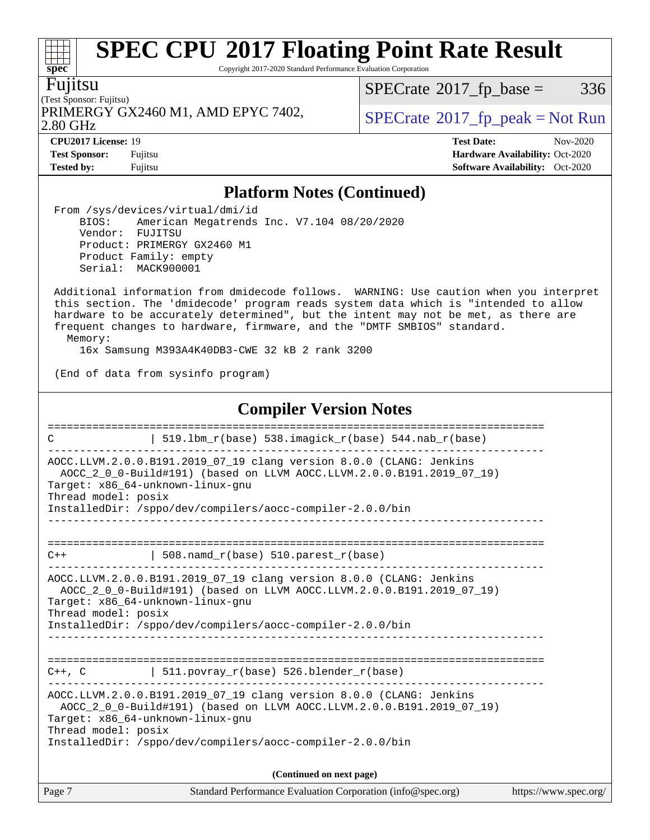Copyright 2017-2020 Standard Performance Evaluation Corporation

Fujitsu

(Test Sponsor: Fujitsu) 2.80 GHz PRIMERGY GX2460 M1, AMD EPYC 7402,  $\vert$  [SPECrate](http://www.spec.org/auto/cpu2017/Docs/result-fields.html#SPECrate2017fppeak)®[2017\\_fp\\_peak = N](http://www.spec.org/auto/cpu2017/Docs/result-fields.html#SPECrate2017fppeak)ot Run

 $SPECTate@2017_fp\_base = 336$ 

**[CPU2017 License:](http://www.spec.org/auto/cpu2017/Docs/result-fields.html#CPU2017License)** 19 **[Test Date:](http://www.spec.org/auto/cpu2017/Docs/result-fields.html#TestDate)** Nov-2020 **[Test Sponsor:](http://www.spec.org/auto/cpu2017/Docs/result-fields.html#TestSponsor)** Fujitsu **[Hardware Availability:](http://www.spec.org/auto/cpu2017/Docs/result-fields.html#HardwareAvailability)** Oct-2020 **[Tested by:](http://www.spec.org/auto/cpu2017/Docs/result-fields.html#Testedby)** Fujitsu **Fugital Exception Contract Contract Contract Contract Contract Contract Contract Contract Contract Contract Contract Contract Contract Contract Contract Contract Contract Contract Contract Contract Co** 

### **[Platform Notes \(Continued\)](http://www.spec.org/auto/cpu2017/Docs/result-fields.html#PlatformNotes)**

 From /sys/devices/virtual/dmi/id BIOS: American Megatrends Inc. V7.104 08/20/2020 Vendor: FUJITSU Product: PRIMERGY GX2460 M1 Product Family: empty Serial: MACK900001

 Additional information from dmidecode follows. WARNING: Use caution when you interpret this section. The 'dmidecode' program reads system data which is "intended to allow hardware to be accurately determined", but the intent may not be met, as there are frequent changes to hardware, firmware, and the "DMTF SMBIOS" standard. Memory:

16x Samsung M393A4K40DB3-CWE 32 kB 2 rank 3200

(End of data from sysinfo program)

### **[Compiler Version Notes](http://www.spec.org/auto/cpu2017/Docs/result-fields.html#CompilerVersionNotes)**

| C                   | 519.1bm_r(base) 538.imagick_r(base) 544.nab_r(base)                                                                                                                                                                                           |                       |
|---------------------|-----------------------------------------------------------------------------------------------------------------------------------------------------------------------------------------------------------------------------------------------|-----------------------|
| Thread model: posix | AOCC.LLVM.2.0.0.B191.2019_07_19 clang version 8.0.0 (CLANG: Jenkins<br>AOCC_2_0_0-Build#191) (based on LLVM AOCC.LLVM.2.0.0.B191.2019_07_19)<br>Target: x86 64-unknown-linux-gnu<br>InstalledDir: /sppo/dev/compilers/aocc-compiler-2.0.0/bin |                       |
| $C++$               | $508.namd_r(base) 510.parest_r(base)$                                                                                                                                                                                                         |                       |
| Thread model: posix | AOCC.LLVM.2.0.0.B191.2019_07_19 clang version 8.0.0 (CLANG: Jenkins<br>AOCC 2 0 0-Build#191) (based on LLVM AOCC.LLVM.2.0.0.B191.2019 07 19)<br>Target: x86_64-unknown-linux-gnu<br>InstalledDir: /sppo/dev/compilers/aocc-compiler-2.0.0/bin |                       |
| $C++$ , $C$         | 511.povray_r(base) 526.blender_r(base)                                                                                                                                                                                                        |                       |
| Thread model: posix | AOCC.LLVM.2.0.0.B191.2019 07 19 clang version 8.0.0 (CLANG: Jenkins<br>AOCC 2 0 0-Build#191) (based on LLVM AOCC.LLVM.2.0.0.B191.2019 07 19)<br>Target: x86 64-unknown-linux-gnu<br>InstalledDir: /sppo/dev/compilers/aocc-compiler-2.0.0/bin |                       |
|                     | (Continued on next page)                                                                                                                                                                                                                      |                       |
| Page 7              | Standard Performance Evaluation Corporation (info@spec.org)                                                                                                                                                                                   | https://www.spec.org/ |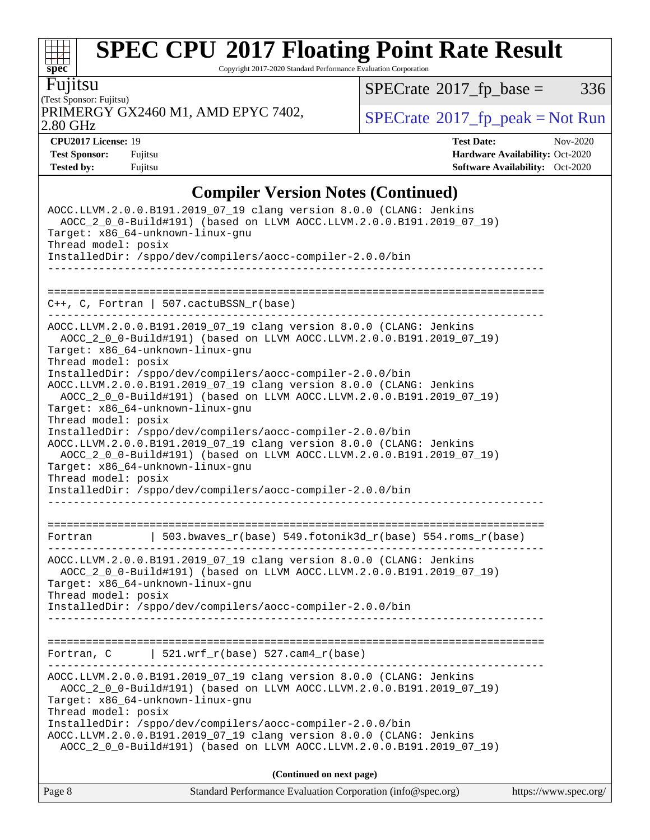Copyright 2017-2020 Standard Performance Evaluation Corporation

Fujitsu

**[spec](http://www.spec.org/)**

 $+\ +$ 

(Test Sponsor: Fujitsu) PRIMERGY GX2460 M1, AMD EPYC 7402,  $\vert$  [SPECrate](http://www.spec.org/auto/cpu2017/Docs/result-fields.html#SPECrate2017fppeak) [2017\\_fp\\_peak = N](http://www.spec.org/auto/cpu2017/Docs/result-fields.html#SPECrate2017fppeak)ot Run

 $SPECTate$ <sup>®</sup>[2017\\_fp\\_base =](http://www.spec.org/auto/cpu2017/Docs/result-fields.html#SPECrate2017fpbase) 336

2.80 GHz

**[Tested by:](http://www.spec.org/auto/cpu2017/Docs/result-fields.html#Testedby)** Fujitsu **[Software Availability:](http://www.spec.org/auto/cpu2017/Docs/result-fields.html#SoftwareAvailability)** Oct-2020

**[CPU2017 License:](http://www.spec.org/auto/cpu2017/Docs/result-fields.html#CPU2017License)** 19 **[Test Date:](http://www.spec.org/auto/cpu2017/Docs/result-fields.html#TestDate)** Nov-2020 **[Test Sponsor:](http://www.spec.org/auto/cpu2017/Docs/result-fields.html#TestSponsor)** Fujitsu **[Hardware Availability:](http://www.spec.org/auto/cpu2017/Docs/result-fields.html#HardwareAvailability)** Oct-2020

### **[Compiler Version Notes \(Continued\)](http://www.spec.org/auto/cpu2017/Docs/result-fields.html#CompilerVersionNotes)**

| Standard Performance Evaluation Corporation (info@spec.org)<br>Page 8                                                                                                                                                            | https://www.spec.org/ |
|----------------------------------------------------------------------------------------------------------------------------------------------------------------------------------------------------------------------------------|-----------------------|
| (Continued on next page)                                                                                                                                                                                                         |                       |
| Thread model: posix<br>InstalledDir: /sppo/dev/compilers/aocc-compiler-2.0.0/bin<br>AOCC.LLVM.2.0.0.B191.2019_07_19 clang version 8.0.0 (CLANG: Jenkins<br>AOCC_2_0_0-Build#191) (based on LLVM AOCC.LLVM.2.0.0.B191.2019_07_19) |                       |
| AOCC.LLVM.2.0.0.B191.2019_07_19 clang version 8.0.0 (CLANG: Jenkins<br>AOCC_2_0_0-Build#191) (based on LLVM AOCC.LLVM.2.0.0.B191.2019_07_19)<br>Target: x86_64-unknown-linux-gnu                                                 |                       |
| Fortran, $C$   521.wrf_r(base) 527.cam4_r(base)                                                                                                                                                                                  |                       |
| InstalledDir: /sppo/dev/compilers/aocc-compiler-2.0.0/bin<br>___________________________________<br>----------                                                                                                                   |                       |
| AOCC.LLVM.2.0.0.B191.2019_07_19 clang version 8.0.0 (CLANG: Jenkins<br>AOCC_2_0_0-Build#191) (based on LLVM AOCC.LLVM.2.0.0.B191.2019_07_19)<br>Target: x86_64-unknown-linux-gnu<br>Thread model: posix                          |                       |
| Fortran $\vert$ 503.bwaves_r(base) 549.fotonik3d_r(base) 554.roms_r(base)                                                                                                                                                        |                       |
| InstalledDir: /sppo/dev/compilers/aocc-compiler-2.0.0/bin                                                                                                                                                                        |                       |
| AOCC.LLVM.2.0.0.B191.2019_07_19 clang version 8.0.0 (CLANG: Jenkins<br>AOCC_2_0_0-Build#191) (based on LLVM AOCC.LLVM.2.0.0.B191.2019_07_19)<br>Target: x86_64-unknown-linux-gnu<br>Thread model: posix                          |                       |
| Thread model: posix<br>InstalledDir: /sppo/dev/compilers/aocc-compiler-2.0.0/bin                                                                                                                                                 |                       |
| AOCC.LLVM.2.0.0.B191.2019_07_19 clang version 8.0.0 (CLANG: Jenkins<br>AOCC_2_0_0-Build#191) (based on LLVM AOCC.LLVM.2.0.0.B191.2019_07_19)<br>Target: x86_64-unknown-linux-gnu                                                 |                       |
| AOCC_2_0_0-Build#191) (based on LLVM AOCC.LLVM.2.0.0.B191.2019_07_19)<br>Target: x86_64-unknown-linux-gnu<br>Thread model: posix<br>InstalledDir: /sppo/dev/compilers/aocc-compiler-2.0.0/bin                                    |                       |
| AOCC.LLVM.2.0.0.B191.2019_07_19 clang version 8.0.0 (CLANG: Jenkins                                                                                                                                                              |                       |
| $C++$ , C, Fortran   507.cactuBSSN_r(base)                                                                                                                                                                                       |                       |
| InstalledDir: /sppo/dev/compilers/aocc-compiler-2.0.0/bin                                                                                                                                                                        |                       |
| AOCC_2_0_0-Build#191) (based on LLVM AOCC.LLVM.2.0.0.B191.2019_07_19)<br>Target: x86_64-unknown-linux-gnu<br>Thread model: posix                                                                                                 |                       |
| AOCC.LLVM.2.0.0.B191.2019_07_19 clang version 8.0.0 (CLANG: Jenkins                                                                                                                                                              |                       |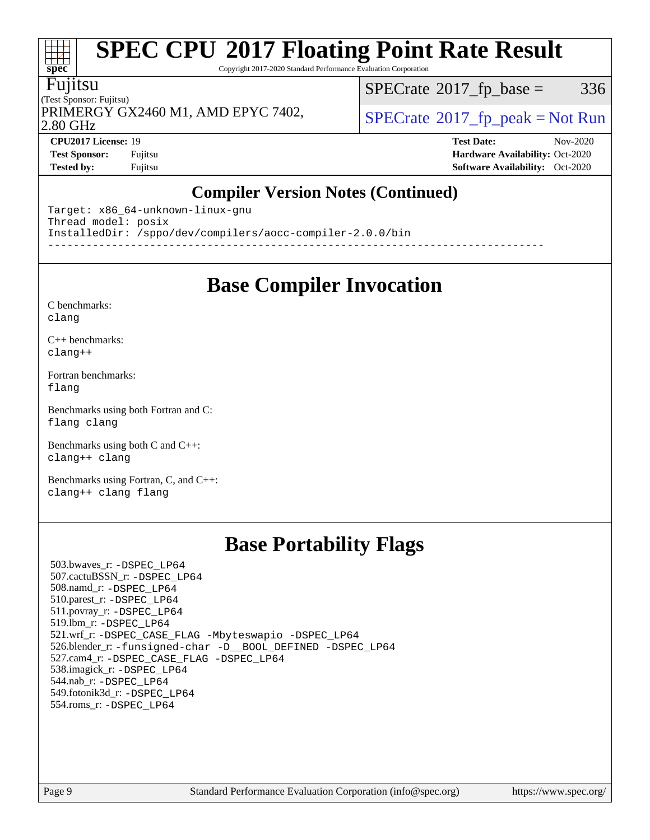Copyright 2017-2020 Standard Performance Evaluation Corporation

#### Fujitsu

**[spec](http://www.spec.org/)**

at t

(Test Sponsor: Fujitsu) 2.80 GHz PRIMERGY GX2460 M1, AMD EPYC 7402,  $\vert$  [SPECrate](http://www.spec.org/auto/cpu2017/Docs/result-fields.html#SPECrate2017fppeak)®[2017\\_fp\\_peak = N](http://www.spec.org/auto/cpu2017/Docs/result-fields.html#SPECrate2017fppeak)ot Run

 $SPECTate@2017_fp\_base = 336$ 

**[CPU2017 License:](http://www.spec.org/auto/cpu2017/Docs/result-fields.html#CPU2017License)** 19 **[Test Date:](http://www.spec.org/auto/cpu2017/Docs/result-fields.html#TestDate)** Nov-2020 **[Test Sponsor:](http://www.spec.org/auto/cpu2017/Docs/result-fields.html#TestSponsor)** Fujitsu **[Hardware Availability:](http://www.spec.org/auto/cpu2017/Docs/result-fields.html#HardwareAvailability)** Oct-2020 **[Tested by:](http://www.spec.org/auto/cpu2017/Docs/result-fields.html#Testedby)** Fujitsu **[Software Availability:](http://www.spec.org/auto/cpu2017/Docs/result-fields.html#SoftwareAvailability)** Oct-2020

### **[Compiler Version Notes \(Continued\)](http://www.spec.org/auto/cpu2017/Docs/result-fields.html#CompilerVersionNotes)**

Target: x86\_64-unknown-linux-gnu Thread model: posix InstalledDir: /sppo/dev/compilers/aocc-compiler-2.0.0/bin ------------------------------------------------------------------------------

### **[Base Compiler Invocation](http://www.spec.org/auto/cpu2017/Docs/result-fields.html#BaseCompilerInvocation)**

[C benchmarks](http://www.spec.org/auto/cpu2017/Docs/result-fields.html#Cbenchmarks): [clang](http://www.spec.org/cpu2017/results/res2020q4/cpu2017-20201124-24496.flags.html#user_CCbase_clang-c)

[C++ benchmarks:](http://www.spec.org/auto/cpu2017/Docs/result-fields.html#CXXbenchmarks) [clang++](http://www.spec.org/cpu2017/results/res2020q4/cpu2017-20201124-24496.flags.html#user_CXXbase_clang-cpp)

[Fortran benchmarks](http://www.spec.org/auto/cpu2017/Docs/result-fields.html#Fortranbenchmarks): [flang](http://www.spec.org/cpu2017/results/res2020q4/cpu2017-20201124-24496.flags.html#user_FCbase_flang)

[Benchmarks using both Fortran and C](http://www.spec.org/auto/cpu2017/Docs/result-fields.html#BenchmarksusingbothFortranandC): [flang](http://www.spec.org/cpu2017/results/res2020q4/cpu2017-20201124-24496.flags.html#user_CC_FCbase_flang) [clang](http://www.spec.org/cpu2017/results/res2020q4/cpu2017-20201124-24496.flags.html#user_CC_FCbase_clang-c)

[Benchmarks using both C and C++](http://www.spec.org/auto/cpu2017/Docs/result-fields.html#BenchmarksusingbothCandCXX): [clang++](http://www.spec.org/cpu2017/results/res2020q4/cpu2017-20201124-24496.flags.html#user_CC_CXXbase_clang-cpp) [clang](http://www.spec.org/cpu2017/results/res2020q4/cpu2017-20201124-24496.flags.html#user_CC_CXXbase_clang-c)

[Benchmarks using Fortran, C, and C++:](http://www.spec.org/auto/cpu2017/Docs/result-fields.html#BenchmarksusingFortranCandCXX) [clang++](http://www.spec.org/cpu2017/results/res2020q4/cpu2017-20201124-24496.flags.html#user_CC_CXX_FCbase_clang-cpp) [clang](http://www.spec.org/cpu2017/results/res2020q4/cpu2017-20201124-24496.flags.html#user_CC_CXX_FCbase_clang-c) [flang](http://www.spec.org/cpu2017/results/res2020q4/cpu2017-20201124-24496.flags.html#user_CC_CXX_FCbase_flang)

### **[Base Portability Flags](http://www.spec.org/auto/cpu2017/Docs/result-fields.html#BasePortabilityFlags)**

 503.bwaves\_r: [-DSPEC\\_LP64](http://www.spec.org/cpu2017/results/res2020q4/cpu2017-20201124-24496.flags.html#suite_baseEXTRA_PORTABILITY503_bwaves_r_DSPEC_LP64) 507.cactuBSSN\_r: [-DSPEC\\_LP64](http://www.spec.org/cpu2017/results/res2020q4/cpu2017-20201124-24496.flags.html#suite_baseEXTRA_PORTABILITY507_cactuBSSN_r_DSPEC_LP64) 508.namd\_r: [-DSPEC\\_LP64](http://www.spec.org/cpu2017/results/res2020q4/cpu2017-20201124-24496.flags.html#suite_baseEXTRA_PORTABILITY508_namd_r_DSPEC_LP64) 510.parest\_r: [-DSPEC\\_LP64](http://www.spec.org/cpu2017/results/res2020q4/cpu2017-20201124-24496.flags.html#suite_baseEXTRA_PORTABILITY510_parest_r_DSPEC_LP64) 511.povray\_r: [-DSPEC\\_LP64](http://www.spec.org/cpu2017/results/res2020q4/cpu2017-20201124-24496.flags.html#suite_baseEXTRA_PORTABILITY511_povray_r_DSPEC_LP64) 519.lbm\_r: [-DSPEC\\_LP64](http://www.spec.org/cpu2017/results/res2020q4/cpu2017-20201124-24496.flags.html#suite_baseEXTRA_PORTABILITY519_lbm_r_DSPEC_LP64) 521.wrf\_r: [-DSPEC\\_CASE\\_FLAG](http://www.spec.org/cpu2017/results/res2020q4/cpu2017-20201124-24496.flags.html#b521.wrf_r_baseCPORTABILITY_DSPEC_CASE_FLAG) [-Mbyteswapio](http://www.spec.org/cpu2017/results/res2020q4/cpu2017-20201124-24496.flags.html#user_baseFPORTABILITY521_wrf_r_F-mbyteswapio_543c39ce38db59bcbc3b888917ef58c313007ae1c27520b689e012995ae261114051d1d5efcb4182d175ce22a6a15532d3a9999882dd2c360e6d853f41da6883) [-DSPEC\\_LP64](http://www.spec.org/cpu2017/results/res2020q4/cpu2017-20201124-24496.flags.html#suite_baseEXTRA_PORTABILITY521_wrf_r_DSPEC_LP64) 526.blender\_r: [-funsigned-char](http://www.spec.org/cpu2017/results/res2020q4/cpu2017-20201124-24496.flags.html#user_baseCPORTABILITY526_blender_r_aocc-unsigned-char) [-D\\_\\_BOOL\\_DEFINED](http://www.spec.org/cpu2017/results/res2020q4/cpu2017-20201124-24496.flags.html#b526.blender_r_baseCXXPORTABILITY_D__BOOL_DEFINED) [-DSPEC\\_LP64](http://www.spec.org/cpu2017/results/res2020q4/cpu2017-20201124-24496.flags.html#suite_baseEXTRA_PORTABILITY526_blender_r_DSPEC_LP64) 527.cam4\_r: [-DSPEC\\_CASE\\_FLAG](http://www.spec.org/cpu2017/results/res2020q4/cpu2017-20201124-24496.flags.html#b527.cam4_r_basePORTABILITY_DSPEC_CASE_FLAG) [-DSPEC\\_LP64](http://www.spec.org/cpu2017/results/res2020q4/cpu2017-20201124-24496.flags.html#suite_baseEXTRA_PORTABILITY527_cam4_r_DSPEC_LP64) 538.imagick\_r: [-DSPEC\\_LP64](http://www.spec.org/cpu2017/results/res2020q4/cpu2017-20201124-24496.flags.html#suite_baseEXTRA_PORTABILITY538_imagick_r_DSPEC_LP64) 544.nab\_r: [-DSPEC\\_LP64](http://www.spec.org/cpu2017/results/res2020q4/cpu2017-20201124-24496.flags.html#suite_baseEXTRA_PORTABILITY544_nab_r_DSPEC_LP64) 549.fotonik3d\_r: [-DSPEC\\_LP64](http://www.spec.org/cpu2017/results/res2020q4/cpu2017-20201124-24496.flags.html#suite_baseEXTRA_PORTABILITY549_fotonik3d_r_DSPEC_LP64) 554.roms\_r: [-DSPEC\\_LP64](http://www.spec.org/cpu2017/results/res2020q4/cpu2017-20201124-24496.flags.html#suite_baseEXTRA_PORTABILITY554_roms_r_DSPEC_LP64)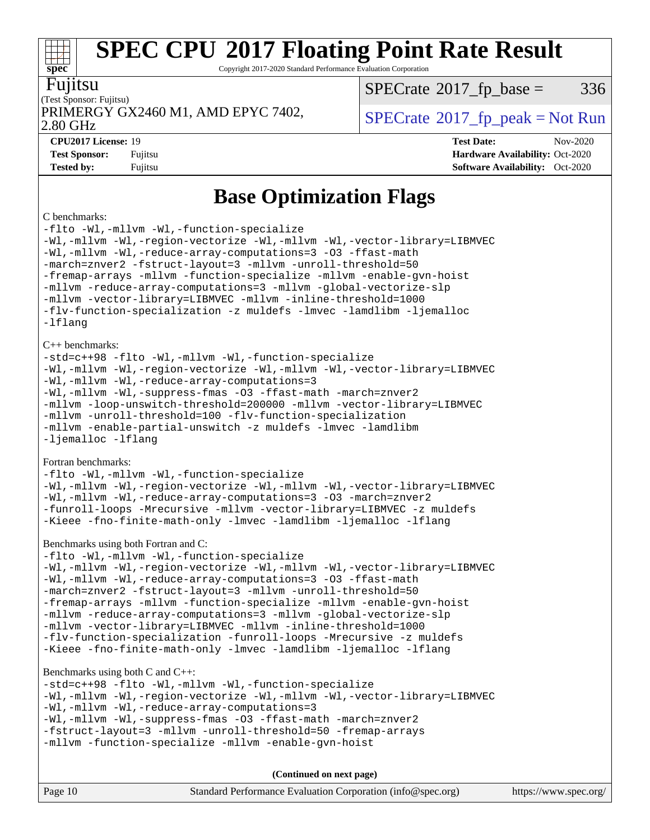Copyright 2017-2020 Standard Performance Evaluation Corporation

| n |  |
|---|--|
|   |  |

#### (Test Sponsor: Fujitsu) 2.80 GHz PRIMERGY GX2460 M1, AMD EPYC 7402,  $\vert$  [SPECrate](http://www.spec.org/auto/cpu2017/Docs/result-fields.html#SPECrate2017fppeak) 2017 fp peak = Not Run

 $SPECTate@2017_fp\_base = 336$ 

**[spec](http://www.spec.org/)**

**[CPU2017 License:](http://www.spec.org/auto/cpu2017/Docs/result-fields.html#CPU2017License)** 19 **[Test Date:](http://www.spec.org/auto/cpu2017/Docs/result-fields.html#TestDate)** Nov-2020 **[Test Sponsor:](http://www.spec.org/auto/cpu2017/Docs/result-fields.html#TestSponsor)** Fujitsu **[Hardware Availability:](http://www.spec.org/auto/cpu2017/Docs/result-fields.html#HardwareAvailability)** Oct-2020 **[Tested by:](http://www.spec.org/auto/cpu2017/Docs/result-fields.html#Testedby)** Fujitsu **[Software Availability:](http://www.spec.org/auto/cpu2017/Docs/result-fields.html#SoftwareAvailability)** Oct-2020

### **[Base Optimization Flags](http://www.spec.org/auto/cpu2017/Docs/result-fields.html#BaseOptimizationFlags)**

#### [C benchmarks:](http://www.spec.org/auto/cpu2017/Docs/result-fields.html#Cbenchmarks)

[-flto](http://www.spec.org/cpu2017/results/res2020q4/cpu2017-20201124-24496.flags.html#user_CCbase_aocc-flto) [-Wl,-mllvm -Wl,-function-specialize](http://www.spec.org/cpu2017/results/res2020q4/cpu2017-20201124-24496.flags.html#user_CCbase_F-function-specialize_7e7e661e57922243ee67c9a1251cb8910e607325179a0ce7f2884e09a6f5d4a5ef0ae4f37e8a2a11c95fc48e931f06dc2b6016f14b511fcb441e048bef1b065a) [-Wl,-mllvm -Wl,-region-vectorize](http://www.spec.org/cpu2017/results/res2020q4/cpu2017-20201124-24496.flags.html#user_CCbase_F-region-vectorize_fb6c6b5aa293c88efc6c7c2b52b20755e943585b1fe8658c35afef78727fff56e1a56891413c30e36b8e2a6f9a71126986319243e80eb6110b78b288f533c52b) [-Wl,-mllvm -Wl,-vector-library=LIBMVEC](http://www.spec.org/cpu2017/results/res2020q4/cpu2017-20201124-24496.flags.html#user_CCbase_F-use-vector-library_0a14b27fae317f283640384a31f7bfcc2bd4c1d0b5cfc618a3a430800c9b20217b00f61303eff223a3251b4f06ffbc9739dc5296db9d1fbb9ad24a3939d86d66) [-Wl,-mllvm -Wl,-reduce-array-computations=3](http://www.spec.org/cpu2017/results/res2020q4/cpu2017-20201124-24496.flags.html#user_CCbase_F-reduce-array-computations_b882aefe7a5dda4e33149f6299762b9a720dace3e498e13756f4c04e5a19edf5315c1f3993de2e61ec41e8c206231f84e05da7040e1bb5d69ba27d10a12507e4) [-O3](http://www.spec.org/cpu2017/results/res2020q4/cpu2017-20201124-24496.flags.html#user_CCbase_F-O3) [-ffast-math](http://www.spec.org/cpu2017/results/res2020q4/cpu2017-20201124-24496.flags.html#user_CCbase_aocc-ffast-math) [-march=znver2](http://www.spec.org/cpu2017/results/res2020q4/cpu2017-20201124-24496.flags.html#user_CCbase_aocc-march_3e2e19cff2eeef60c5d90b059483627c9ea47eca6d66670dbd53f9185f6439e27eb5e104cf773e9e8ab18c8842ce63e461a3e948d0214bd567ef3ade411bf467) [-fstruct-layout=3](http://www.spec.org/cpu2017/results/res2020q4/cpu2017-20201124-24496.flags.html#user_CCbase_F-struct-layout) [-mllvm -unroll-threshold=50](http://www.spec.org/cpu2017/results/res2020q4/cpu2017-20201124-24496.flags.html#user_CCbase_F-unroll-threshold_458874500b2c105d6d5cb4d7a611c40e2b16e9e3d26b355fea72d644c3673b4de4b3932662f0ed3dbec75c491a13da2d2ca81180bd779dc531083ef1e1e549dc) [-fremap-arrays](http://www.spec.org/cpu2017/results/res2020q4/cpu2017-20201124-24496.flags.html#user_CCbase_F-fremap-arrays) [-mllvm -function-specialize](http://www.spec.org/cpu2017/results/res2020q4/cpu2017-20201124-24496.flags.html#user_CCbase_F-function-specialize_233b3bdba86027f1b094368157e481c5bc59f40286dc25bfadc1858dcd5745c24fd30d5f188710db7fea399bcc9f44a80b3ce3aacc70a8870250c3ae5e1f35b8) [-mllvm -enable-gvn-hoist](http://www.spec.org/cpu2017/results/res2020q4/cpu2017-20201124-24496.flags.html#user_CCbase_F-enable-gvn-hoist_e5856354646dd6ca1333a0ad99b817e4cf8932b91b82809fd8fd47ceff7b22a89eba5c98fd3e3fa5200368fd772cec3dd56abc3c8f7b655a71b9f9848dddedd5) [-mllvm -reduce-array-computations=3](http://www.spec.org/cpu2017/results/res2020q4/cpu2017-20201124-24496.flags.html#user_CCbase_F-reduce-array-computations_aceadb8604558b566e0e3a0d7a3c1533923dd1fa0889614e16288028922629a28d5695c24d3b3be4306b1e311c54317dfffe3a2e57fbcaabc737a1798de39145) [-mllvm -global-vectorize-slp](http://www.spec.org/cpu2017/results/res2020q4/cpu2017-20201124-24496.flags.html#user_CCbase_F-global-vectorize-slp_a3935e8627af4ced727033b1ffd4db27f4d541a363d28d82bf4c2925fb3a0fd4115d6e42d13a2829f9e024d6608eb67a85cb49770f2da5c5ac8dbc737afad603) [-mllvm -vector-library=LIBMVEC](http://www.spec.org/cpu2017/results/res2020q4/cpu2017-20201124-24496.flags.html#user_CCbase_F-use-vector-library_e584e20b4f7ec96aa109254b65d8e01d864f3d68580371b9d93ed7c338191d4cfce20c3c864632264effc6bbe4c7c38153d02096a342ee92501c4a53204a7871) [-mllvm -inline-threshold=1000](http://www.spec.org/cpu2017/results/res2020q4/cpu2017-20201124-24496.flags.html#user_CCbase_dragonegg-llvm-inline-threshold_b7832241b0a6397e4ecdbaf0eb7defdc10f885c2a282fa3240fdc99844d543fda39cf8a4a9dccf68cf19b5438ac3b455264f478df15da0f4988afa40d8243bab) [-flv-function-specialization](http://www.spec.org/cpu2017/results/res2020q4/cpu2017-20201124-24496.flags.html#user_CCbase_F-flv-function-specialization) [-z muldefs](http://www.spec.org/cpu2017/results/res2020q4/cpu2017-20201124-24496.flags.html#user_CCbase_aocc-muldefs) [-lmvec](http://www.spec.org/cpu2017/results/res2020q4/cpu2017-20201124-24496.flags.html#user_CCbase_F-lmvec) [-lamdlibm](http://www.spec.org/cpu2017/results/res2020q4/cpu2017-20201124-24496.flags.html#user_CCbase_F-lamdlibm) [-ljemalloc](http://www.spec.org/cpu2017/results/res2020q4/cpu2017-20201124-24496.flags.html#user_CCbase_jemalloc-lib) [-lflang](http://www.spec.org/cpu2017/results/res2020q4/cpu2017-20201124-24496.flags.html#user_CCbase_F-lflang) [C++ benchmarks](http://www.spec.org/auto/cpu2017/Docs/result-fields.html#CXXbenchmarks): [-std=c++98](http://www.spec.org/cpu2017/results/res2020q4/cpu2017-20201124-24496.flags.html#user_CXXbase_std-cpp) [-flto](http://www.spec.org/cpu2017/results/res2020q4/cpu2017-20201124-24496.flags.html#user_CXXbase_aocc-flto) [-Wl,-mllvm -Wl,-function-specialize](http://www.spec.org/cpu2017/results/res2020q4/cpu2017-20201124-24496.flags.html#user_CXXbase_F-function-specialize_7e7e661e57922243ee67c9a1251cb8910e607325179a0ce7f2884e09a6f5d4a5ef0ae4f37e8a2a11c95fc48e931f06dc2b6016f14b511fcb441e048bef1b065a) [-Wl,-mllvm -Wl,-region-vectorize](http://www.spec.org/cpu2017/results/res2020q4/cpu2017-20201124-24496.flags.html#user_CXXbase_F-region-vectorize_fb6c6b5aa293c88efc6c7c2b52b20755e943585b1fe8658c35afef78727fff56e1a56891413c30e36b8e2a6f9a71126986319243e80eb6110b78b288f533c52b) [-Wl,-mllvm -Wl,-vector-library=LIBMVEC](http://www.spec.org/cpu2017/results/res2020q4/cpu2017-20201124-24496.flags.html#user_CXXbase_F-use-vector-library_0a14b27fae317f283640384a31f7bfcc2bd4c1d0b5cfc618a3a430800c9b20217b00f61303eff223a3251b4f06ffbc9739dc5296db9d1fbb9ad24a3939d86d66) [-Wl,-mllvm -Wl,-reduce-array-computations=3](http://www.spec.org/cpu2017/results/res2020q4/cpu2017-20201124-24496.flags.html#user_CXXbase_F-reduce-array-computations_b882aefe7a5dda4e33149f6299762b9a720dace3e498e13756f4c04e5a19edf5315c1f3993de2e61ec41e8c206231f84e05da7040e1bb5d69ba27d10a12507e4) [-Wl,-mllvm -Wl,-suppress-fmas](http://www.spec.org/cpu2017/results/res2020q4/cpu2017-20201124-24496.flags.html#user_CXXbase_F-suppress-fmas_f00f00630e4a059e8af9c161e9bbf420bcf19890a7f99d5933525e66aa4b0bb3ab2339d2b12d97d3a5f5d271e839fe9c109938e91fe06230fb53651590cfa1e8) [-O3](http://www.spec.org/cpu2017/results/res2020q4/cpu2017-20201124-24496.flags.html#user_CXXbase_F-O3) [-ffast-math](http://www.spec.org/cpu2017/results/res2020q4/cpu2017-20201124-24496.flags.html#user_CXXbase_aocc-ffast-math) [-march=znver2](http://www.spec.org/cpu2017/results/res2020q4/cpu2017-20201124-24496.flags.html#user_CXXbase_aocc-march_3e2e19cff2eeef60c5d90b059483627c9ea47eca6d66670dbd53f9185f6439e27eb5e104cf773e9e8ab18c8842ce63e461a3e948d0214bd567ef3ade411bf467) [-mllvm -loop-unswitch-threshold=200000](http://www.spec.org/cpu2017/results/res2020q4/cpu2017-20201124-24496.flags.html#user_CXXbase_F-loop-unswitch-threshold_f9a82ae3270e55b5fbf79d0d96ee93606b73edbbe527d20b18b7bff1a3a146ad50cfc7454c5297978340ae9213029016a7d16221274d672d3f7f42ed25274e1d) [-mllvm -vector-library=LIBMVEC](http://www.spec.org/cpu2017/results/res2020q4/cpu2017-20201124-24496.flags.html#user_CXXbase_F-use-vector-library_e584e20b4f7ec96aa109254b65d8e01d864f3d68580371b9d93ed7c338191d4cfce20c3c864632264effc6bbe4c7c38153d02096a342ee92501c4a53204a7871) [-mllvm -unroll-threshold=100](http://www.spec.org/cpu2017/results/res2020q4/cpu2017-20201124-24496.flags.html#user_CXXbase_F-unroll-threshold_2755d0c78138845d361fa1543e3a063fffa198df9b3edf0cfb856bbc88a81e1769b12ac7a550c5d35197be55360db1a3f95a8d1304df999456cabf5120c45168) [-flv-function-specialization](http://www.spec.org/cpu2017/results/res2020q4/cpu2017-20201124-24496.flags.html#user_CXXbase_F-flv-function-specialization) [-mllvm -enable-partial-unswitch](http://www.spec.org/cpu2017/results/res2020q4/cpu2017-20201124-24496.flags.html#user_CXXbase_F-enable-partial-unswitch_6e1c33f981d77963b1eaf834973128a7f33ce3f8e27f54689656697a35e89dcc875281e0e6283d043e32f367dcb605ba0e307a92e830f7e326789fa6c61b35d3) [-z muldefs](http://www.spec.org/cpu2017/results/res2020q4/cpu2017-20201124-24496.flags.html#user_CXXbase_aocc-muldefs) [-lmvec](http://www.spec.org/cpu2017/results/res2020q4/cpu2017-20201124-24496.flags.html#user_CXXbase_F-lmvec) [-lamdlibm](http://www.spec.org/cpu2017/results/res2020q4/cpu2017-20201124-24496.flags.html#user_CXXbase_F-lamdlibm) [-ljemalloc](http://www.spec.org/cpu2017/results/res2020q4/cpu2017-20201124-24496.flags.html#user_CXXbase_jemalloc-lib) [-lflang](http://www.spec.org/cpu2017/results/res2020q4/cpu2017-20201124-24496.flags.html#user_CXXbase_F-lflang) [Fortran benchmarks:](http://www.spec.org/auto/cpu2017/Docs/result-fields.html#Fortranbenchmarks) [-flto](http://www.spec.org/cpu2017/results/res2020q4/cpu2017-20201124-24496.flags.html#user_FCbase_aocc-flto) [-Wl,-mllvm -Wl,-function-specialize](http://www.spec.org/cpu2017/results/res2020q4/cpu2017-20201124-24496.flags.html#user_FCbase_F-function-specialize_7e7e661e57922243ee67c9a1251cb8910e607325179a0ce7f2884e09a6f5d4a5ef0ae4f37e8a2a11c95fc48e931f06dc2b6016f14b511fcb441e048bef1b065a) [-Wl,-mllvm -Wl,-region-vectorize](http://www.spec.org/cpu2017/results/res2020q4/cpu2017-20201124-24496.flags.html#user_FCbase_F-region-vectorize_fb6c6b5aa293c88efc6c7c2b52b20755e943585b1fe8658c35afef78727fff56e1a56891413c30e36b8e2a6f9a71126986319243e80eb6110b78b288f533c52b) [-Wl,-mllvm -Wl,-vector-library=LIBMVEC](http://www.spec.org/cpu2017/results/res2020q4/cpu2017-20201124-24496.flags.html#user_FCbase_F-use-vector-library_0a14b27fae317f283640384a31f7bfcc2bd4c1d0b5cfc618a3a430800c9b20217b00f61303eff223a3251b4f06ffbc9739dc5296db9d1fbb9ad24a3939d86d66) [-Wl,-mllvm -Wl,-reduce-array-computations=3](http://www.spec.org/cpu2017/results/res2020q4/cpu2017-20201124-24496.flags.html#user_FCbase_F-reduce-array-computations_b882aefe7a5dda4e33149f6299762b9a720dace3e498e13756f4c04e5a19edf5315c1f3993de2e61ec41e8c206231f84e05da7040e1bb5d69ba27d10a12507e4) [-O3](http://www.spec.org/cpu2017/results/res2020q4/cpu2017-20201124-24496.flags.html#user_FCbase_F-O3) [-march=znver2](http://www.spec.org/cpu2017/results/res2020q4/cpu2017-20201124-24496.flags.html#user_FCbase_aocc-march_3e2e19cff2eeef60c5d90b059483627c9ea47eca6d66670dbd53f9185f6439e27eb5e104cf773e9e8ab18c8842ce63e461a3e948d0214bd567ef3ade411bf467) [-funroll-loops](http://www.spec.org/cpu2017/results/res2020q4/cpu2017-20201124-24496.flags.html#user_FCbase_aocc-unroll-loops) [-Mrecursive](http://www.spec.org/cpu2017/results/res2020q4/cpu2017-20201124-24496.flags.html#user_FCbase_F-mrecursive_20a145d63f12d5750a899e17d4450b5b8b40330a9bb4af13688ca650e6fb30857bbbe44fb35cdbb895df6e5b2769de0a0d7659f51ff17acfbef6febafec4023f) [-mllvm -vector-library=LIBMVEC](http://www.spec.org/cpu2017/results/res2020q4/cpu2017-20201124-24496.flags.html#user_FCbase_F-use-vector-library_e584e20b4f7ec96aa109254b65d8e01d864f3d68580371b9d93ed7c338191d4cfce20c3c864632264effc6bbe4c7c38153d02096a342ee92501c4a53204a7871) [-z muldefs](http://www.spec.org/cpu2017/results/res2020q4/cpu2017-20201124-24496.flags.html#user_FCbase_aocc-muldefs) [-Kieee](http://www.spec.org/cpu2017/results/res2020q4/cpu2017-20201124-24496.flags.html#user_FCbase_F-kieee) [-fno-finite-math-only](http://www.spec.org/cpu2017/results/res2020q4/cpu2017-20201124-24496.flags.html#user_FCbase_aocc-fno-finite-math-only) [-lmvec](http://www.spec.org/cpu2017/results/res2020q4/cpu2017-20201124-24496.flags.html#user_FCbase_F-lmvec) [-lamdlibm](http://www.spec.org/cpu2017/results/res2020q4/cpu2017-20201124-24496.flags.html#user_FCbase_F-lamdlibm) [-ljemalloc](http://www.spec.org/cpu2017/results/res2020q4/cpu2017-20201124-24496.flags.html#user_FCbase_jemalloc-lib) [-lflang](http://www.spec.org/cpu2017/results/res2020q4/cpu2017-20201124-24496.flags.html#user_FCbase_F-lflang) [Benchmarks using both Fortran and C:](http://www.spec.org/auto/cpu2017/Docs/result-fields.html#BenchmarksusingbothFortranandC) [-flto](http://www.spec.org/cpu2017/results/res2020q4/cpu2017-20201124-24496.flags.html#user_CC_FCbase_aocc-flto) [-Wl,-mllvm -Wl,-function-specialize](http://www.spec.org/cpu2017/results/res2020q4/cpu2017-20201124-24496.flags.html#user_CC_FCbase_F-function-specialize_7e7e661e57922243ee67c9a1251cb8910e607325179a0ce7f2884e09a6f5d4a5ef0ae4f37e8a2a11c95fc48e931f06dc2b6016f14b511fcb441e048bef1b065a) [-Wl,-mllvm -Wl,-region-vectorize](http://www.spec.org/cpu2017/results/res2020q4/cpu2017-20201124-24496.flags.html#user_CC_FCbase_F-region-vectorize_fb6c6b5aa293c88efc6c7c2b52b20755e943585b1fe8658c35afef78727fff56e1a56891413c30e36b8e2a6f9a71126986319243e80eb6110b78b288f533c52b) [-Wl,-mllvm -Wl,-vector-library=LIBMVEC](http://www.spec.org/cpu2017/results/res2020q4/cpu2017-20201124-24496.flags.html#user_CC_FCbase_F-use-vector-library_0a14b27fae317f283640384a31f7bfcc2bd4c1d0b5cfc618a3a430800c9b20217b00f61303eff223a3251b4f06ffbc9739dc5296db9d1fbb9ad24a3939d86d66) [-Wl,-mllvm -Wl,-reduce-array-computations=3](http://www.spec.org/cpu2017/results/res2020q4/cpu2017-20201124-24496.flags.html#user_CC_FCbase_F-reduce-array-computations_b882aefe7a5dda4e33149f6299762b9a720dace3e498e13756f4c04e5a19edf5315c1f3993de2e61ec41e8c206231f84e05da7040e1bb5d69ba27d10a12507e4) [-O3](http://www.spec.org/cpu2017/results/res2020q4/cpu2017-20201124-24496.flags.html#user_CC_FCbase_F-O3) [-ffast-math](http://www.spec.org/cpu2017/results/res2020q4/cpu2017-20201124-24496.flags.html#user_CC_FCbase_aocc-ffast-math) [-march=znver2](http://www.spec.org/cpu2017/results/res2020q4/cpu2017-20201124-24496.flags.html#user_CC_FCbase_aocc-march_3e2e19cff2eeef60c5d90b059483627c9ea47eca6d66670dbd53f9185f6439e27eb5e104cf773e9e8ab18c8842ce63e461a3e948d0214bd567ef3ade411bf467) [-fstruct-layout=3](http://www.spec.org/cpu2017/results/res2020q4/cpu2017-20201124-24496.flags.html#user_CC_FCbase_F-struct-layout) [-mllvm -unroll-threshold=50](http://www.spec.org/cpu2017/results/res2020q4/cpu2017-20201124-24496.flags.html#user_CC_FCbase_F-unroll-threshold_458874500b2c105d6d5cb4d7a611c40e2b16e9e3d26b355fea72d644c3673b4de4b3932662f0ed3dbec75c491a13da2d2ca81180bd779dc531083ef1e1e549dc) [-fremap-arrays](http://www.spec.org/cpu2017/results/res2020q4/cpu2017-20201124-24496.flags.html#user_CC_FCbase_F-fremap-arrays) [-mllvm -function-specialize](http://www.spec.org/cpu2017/results/res2020q4/cpu2017-20201124-24496.flags.html#user_CC_FCbase_F-function-specialize_233b3bdba86027f1b094368157e481c5bc59f40286dc25bfadc1858dcd5745c24fd30d5f188710db7fea399bcc9f44a80b3ce3aacc70a8870250c3ae5e1f35b8) [-mllvm -enable-gvn-hoist](http://www.spec.org/cpu2017/results/res2020q4/cpu2017-20201124-24496.flags.html#user_CC_FCbase_F-enable-gvn-hoist_e5856354646dd6ca1333a0ad99b817e4cf8932b91b82809fd8fd47ceff7b22a89eba5c98fd3e3fa5200368fd772cec3dd56abc3c8f7b655a71b9f9848dddedd5) [-mllvm -reduce-array-computations=3](http://www.spec.org/cpu2017/results/res2020q4/cpu2017-20201124-24496.flags.html#user_CC_FCbase_F-reduce-array-computations_aceadb8604558b566e0e3a0d7a3c1533923dd1fa0889614e16288028922629a28d5695c24d3b3be4306b1e311c54317dfffe3a2e57fbcaabc737a1798de39145) [-mllvm -global-vectorize-slp](http://www.spec.org/cpu2017/results/res2020q4/cpu2017-20201124-24496.flags.html#user_CC_FCbase_F-global-vectorize-slp_a3935e8627af4ced727033b1ffd4db27f4d541a363d28d82bf4c2925fb3a0fd4115d6e42d13a2829f9e024d6608eb67a85cb49770f2da5c5ac8dbc737afad603) [-mllvm -vector-library=LIBMVEC](http://www.spec.org/cpu2017/results/res2020q4/cpu2017-20201124-24496.flags.html#user_CC_FCbase_F-use-vector-library_e584e20b4f7ec96aa109254b65d8e01d864f3d68580371b9d93ed7c338191d4cfce20c3c864632264effc6bbe4c7c38153d02096a342ee92501c4a53204a7871) [-mllvm -inline-threshold=1000](http://www.spec.org/cpu2017/results/res2020q4/cpu2017-20201124-24496.flags.html#user_CC_FCbase_dragonegg-llvm-inline-threshold_b7832241b0a6397e4ecdbaf0eb7defdc10f885c2a282fa3240fdc99844d543fda39cf8a4a9dccf68cf19b5438ac3b455264f478df15da0f4988afa40d8243bab) [-flv-function-specialization](http://www.spec.org/cpu2017/results/res2020q4/cpu2017-20201124-24496.flags.html#user_CC_FCbase_F-flv-function-specialization) [-funroll-loops](http://www.spec.org/cpu2017/results/res2020q4/cpu2017-20201124-24496.flags.html#user_CC_FCbase_aocc-unroll-loops) [-Mrecursive](http://www.spec.org/cpu2017/results/res2020q4/cpu2017-20201124-24496.flags.html#user_CC_FCbase_F-mrecursive_20a145d63f12d5750a899e17d4450b5b8b40330a9bb4af13688ca650e6fb30857bbbe44fb35cdbb895df6e5b2769de0a0d7659f51ff17acfbef6febafec4023f) [-z muldefs](http://www.spec.org/cpu2017/results/res2020q4/cpu2017-20201124-24496.flags.html#user_CC_FCbase_aocc-muldefs) [-Kieee](http://www.spec.org/cpu2017/results/res2020q4/cpu2017-20201124-24496.flags.html#user_CC_FCbase_F-kieee) [-fno-finite-math-only](http://www.spec.org/cpu2017/results/res2020q4/cpu2017-20201124-24496.flags.html#user_CC_FCbase_aocc-fno-finite-math-only) [-lmvec](http://www.spec.org/cpu2017/results/res2020q4/cpu2017-20201124-24496.flags.html#user_CC_FCbase_F-lmvec) [-lamdlibm](http://www.spec.org/cpu2017/results/res2020q4/cpu2017-20201124-24496.flags.html#user_CC_FCbase_F-lamdlibm) [-ljemalloc](http://www.spec.org/cpu2017/results/res2020q4/cpu2017-20201124-24496.flags.html#user_CC_FCbase_jemalloc-lib) [-lflang](http://www.spec.org/cpu2017/results/res2020q4/cpu2017-20201124-24496.flags.html#user_CC_FCbase_F-lflang) [Benchmarks using both C and C++](http://www.spec.org/auto/cpu2017/Docs/result-fields.html#BenchmarksusingbothCandCXX): [-std=c++98](http://www.spec.org/cpu2017/results/res2020q4/cpu2017-20201124-24496.flags.html#user_CC_CXXbase_std-cpp) [-flto](http://www.spec.org/cpu2017/results/res2020q4/cpu2017-20201124-24496.flags.html#user_CC_CXXbase_aocc-flto) [-Wl,-mllvm -Wl,-function-specialize](http://www.spec.org/cpu2017/results/res2020q4/cpu2017-20201124-24496.flags.html#user_CC_CXXbase_F-function-specialize_7e7e661e57922243ee67c9a1251cb8910e607325179a0ce7f2884e09a6f5d4a5ef0ae4f37e8a2a11c95fc48e931f06dc2b6016f14b511fcb441e048bef1b065a) [-Wl,-mllvm -Wl,-region-vectorize](http://www.spec.org/cpu2017/results/res2020q4/cpu2017-20201124-24496.flags.html#user_CC_CXXbase_F-region-vectorize_fb6c6b5aa293c88efc6c7c2b52b20755e943585b1fe8658c35afef78727fff56e1a56891413c30e36b8e2a6f9a71126986319243e80eb6110b78b288f533c52b) [-Wl,-mllvm -Wl,-vector-library=LIBMVEC](http://www.spec.org/cpu2017/results/res2020q4/cpu2017-20201124-24496.flags.html#user_CC_CXXbase_F-use-vector-library_0a14b27fae317f283640384a31f7bfcc2bd4c1d0b5cfc618a3a430800c9b20217b00f61303eff223a3251b4f06ffbc9739dc5296db9d1fbb9ad24a3939d86d66)

[-Wl,-mllvm -Wl,-reduce-array-computations=3](http://www.spec.org/cpu2017/results/res2020q4/cpu2017-20201124-24496.flags.html#user_CC_CXXbase_F-reduce-array-computations_b882aefe7a5dda4e33149f6299762b9a720dace3e498e13756f4c04e5a19edf5315c1f3993de2e61ec41e8c206231f84e05da7040e1bb5d69ba27d10a12507e4) [-Wl,-mllvm -Wl,-suppress-fmas](http://www.spec.org/cpu2017/results/res2020q4/cpu2017-20201124-24496.flags.html#user_CC_CXXbase_F-suppress-fmas_f00f00630e4a059e8af9c161e9bbf420bcf19890a7f99d5933525e66aa4b0bb3ab2339d2b12d97d3a5f5d271e839fe9c109938e91fe06230fb53651590cfa1e8) [-O3](http://www.spec.org/cpu2017/results/res2020q4/cpu2017-20201124-24496.flags.html#user_CC_CXXbase_F-O3) [-ffast-math](http://www.spec.org/cpu2017/results/res2020q4/cpu2017-20201124-24496.flags.html#user_CC_CXXbase_aocc-ffast-math) [-march=znver2](http://www.spec.org/cpu2017/results/res2020q4/cpu2017-20201124-24496.flags.html#user_CC_CXXbase_aocc-march_3e2e19cff2eeef60c5d90b059483627c9ea47eca6d66670dbd53f9185f6439e27eb5e104cf773e9e8ab18c8842ce63e461a3e948d0214bd567ef3ade411bf467) [-fstruct-layout=3](http://www.spec.org/cpu2017/results/res2020q4/cpu2017-20201124-24496.flags.html#user_CC_CXXbase_F-struct-layout) [-mllvm -unroll-threshold=50](http://www.spec.org/cpu2017/results/res2020q4/cpu2017-20201124-24496.flags.html#user_CC_CXXbase_F-unroll-threshold_458874500b2c105d6d5cb4d7a611c40e2b16e9e3d26b355fea72d644c3673b4de4b3932662f0ed3dbec75c491a13da2d2ca81180bd779dc531083ef1e1e549dc) [-fremap-arrays](http://www.spec.org/cpu2017/results/res2020q4/cpu2017-20201124-24496.flags.html#user_CC_CXXbase_F-fremap-arrays)

[-mllvm -function-specialize](http://www.spec.org/cpu2017/results/res2020q4/cpu2017-20201124-24496.flags.html#user_CC_CXXbase_F-function-specialize_233b3bdba86027f1b094368157e481c5bc59f40286dc25bfadc1858dcd5745c24fd30d5f188710db7fea399bcc9f44a80b3ce3aacc70a8870250c3ae5e1f35b8) [-mllvm -enable-gvn-hoist](http://www.spec.org/cpu2017/results/res2020q4/cpu2017-20201124-24496.flags.html#user_CC_CXXbase_F-enable-gvn-hoist_e5856354646dd6ca1333a0ad99b817e4cf8932b91b82809fd8fd47ceff7b22a89eba5c98fd3e3fa5200368fd772cec3dd56abc3c8f7b655a71b9f9848dddedd5)

**(Continued on next page)**

| Page 10 | Standard Performance Evaluation Corporation (info@spec.org) | https://www.spec.org/ |
|---------|-------------------------------------------------------------|-----------------------|
|---------|-------------------------------------------------------------|-----------------------|